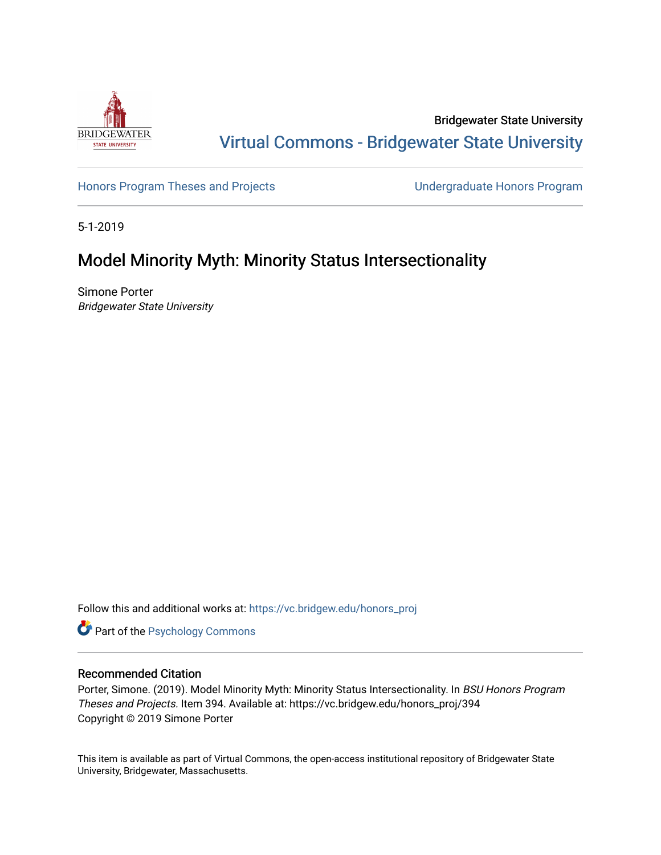

Bridgewater State University [Virtual Commons - Bridgewater State University](https://vc.bridgew.edu/) 

[Honors Program Theses and Projects](https://vc.bridgew.edu/honors_proj) [Undergraduate Honors Program](https://vc.bridgew.edu/honors) 

5-1-2019

# Model Minority Myth: Minority Status Intersectionality

Simone Porter Bridgewater State University

Follow this and additional works at: [https://vc.bridgew.edu/honors\\_proj](https://vc.bridgew.edu/honors_proj?utm_source=vc.bridgew.edu%2Fhonors_proj%2F394&utm_medium=PDF&utm_campaign=PDFCoverPages)

Part of the [Psychology Commons](http://network.bepress.com/hgg/discipline/404?utm_source=vc.bridgew.edu%2Fhonors_proj%2F394&utm_medium=PDF&utm_campaign=PDFCoverPages) 

#### Recommended Citation

Porter, Simone. (2019). Model Minority Myth: Minority Status Intersectionality. In BSU Honors Program Theses and Projects. Item 394. Available at: https://vc.bridgew.edu/honors\_proj/394 Copyright © 2019 Simone Porter

This item is available as part of Virtual Commons, the open-access institutional repository of Bridgewater State University, Bridgewater, Massachusetts.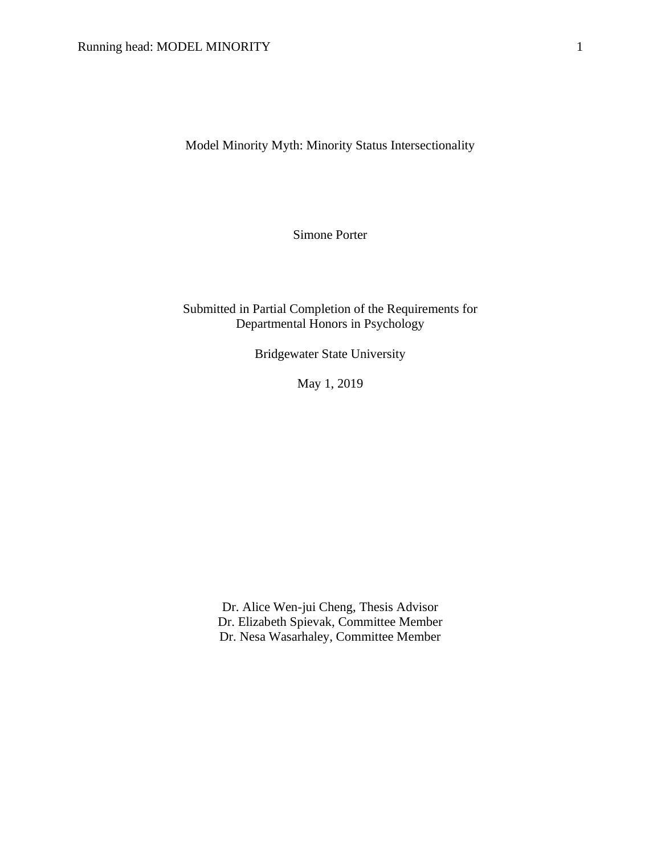Model Minority Myth: Minority Status Intersectionality

Simone Porter

Submitted in Partial Completion of the Requirements for Departmental Honors in Psychology

Bridgewater State University

May 1, 2019

Dr. Alice Wen-jui Cheng, Thesis Advisor Dr. Elizabeth Spievak, Committee Member Dr. Nesa Wasarhaley, Committee Member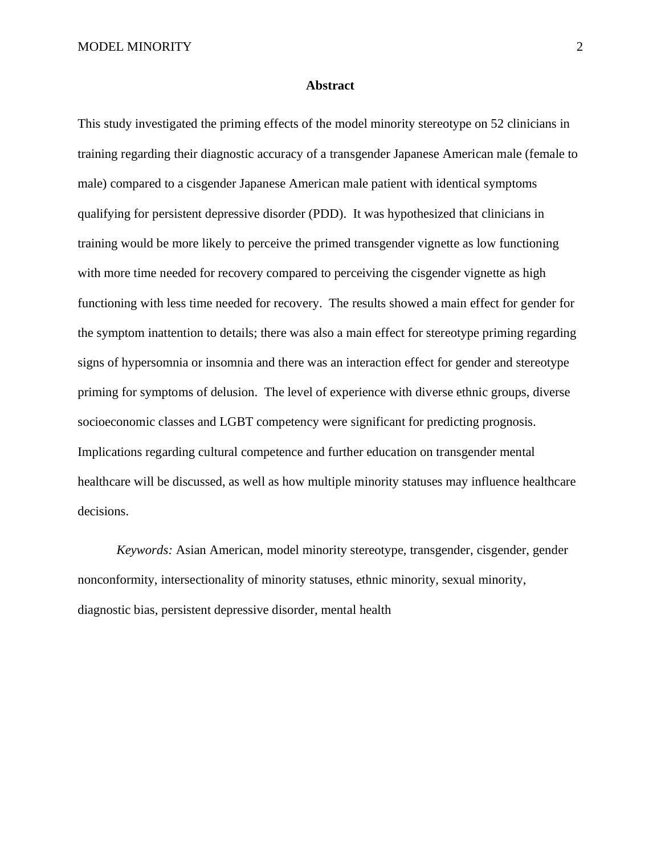#### **Abstract**

This study investigated the priming effects of the model minority stereotype on 52 clinicians in training regarding their diagnostic accuracy of a transgender Japanese American male (female to male) compared to a cisgender Japanese American male patient with identical symptoms qualifying for persistent depressive disorder (PDD). It was hypothesized that clinicians in training would be more likely to perceive the primed transgender vignette as low functioning with more time needed for recovery compared to perceiving the cisgender vignette as high functioning with less time needed for recovery. The results showed a main effect for gender for the symptom inattention to details; there was also a main effect for stereotype priming regarding signs of hypersomnia or insomnia and there was an interaction effect for gender and stereotype priming for symptoms of delusion. The level of experience with diverse ethnic groups, diverse socioeconomic classes and LGBT competency were significant for predicting prognosis. Implications regarding cultural competence and further education on transgender mental healthcare will be discussed, as well as how multiple minority statuses may influence healthcare decisions.

*Keywords:* Asian American, model minority stereotype, transgender, cisgender, gender nonconformity, intersectionality of minority statuses, ethnic minority, sexual minority, diagnostic bias, persistent depressive disorder, mental health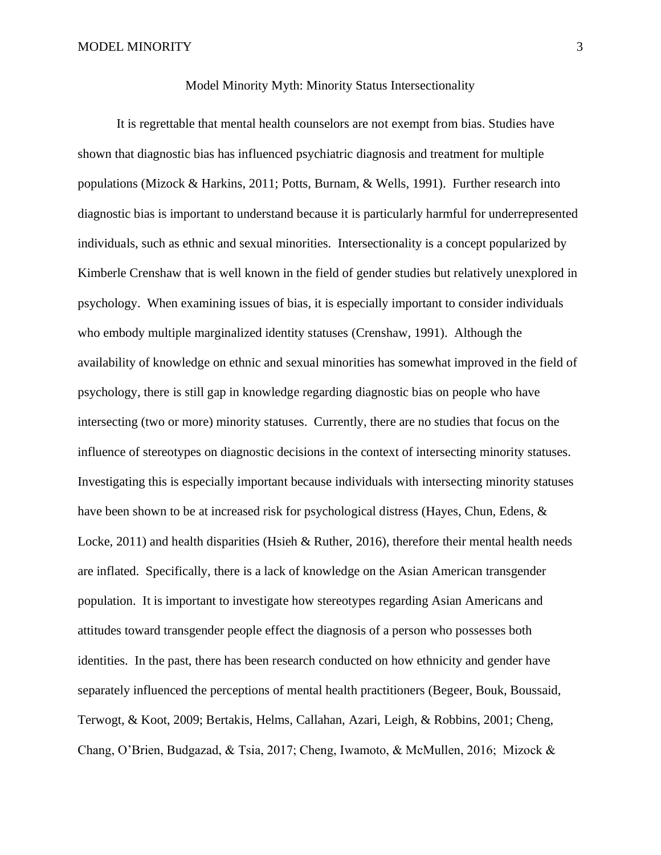#### Model Minority Myth: Minority Status Intersectionality

It is regrettable that mental health counselors are not exempt from bias. Studies have shown that diagnostic bias has influenced psychiatric diagnosis and treatment for multiple populations (Mizock & Harkins, 2011; Potts, Burnam, & Wells, 1991). Further research into diagnostic bias is important to understand because it is particularly harmful for underrepresented individuals, such as ethnic and sexual minorities. Intersectionality is a concept popularized by Kimberle Crenshaw that is well known in the field of gender studies but relatively unexplored in psychology. When examining issues of bias, it is especially important to consider individuals who embody multiple marginalized identity statuses (Crenshaw, 1991). Although the availability of knowledge on ethnic and sexual minorities has somewhat improved in the field of psychology, there is still gap in knowledge regarding diagnostic bias on people who have intersecting (two or more) minority statuses. Currently, there are no studies that focus on the influence of stereotypes on diagnostic decisions in the context of intersecting minority statuses. Investigating this is especially important because individuals with intersecting minority statuses have been shown to be at increased risk for psychological distress (Hayes, Chun, Edens, & Locke, 2011) and health disparities (Hsieh & Ruther, 2016), therefore their mental health needs are inflated. Specifically, there is a lack of knowledge on the Asian American transgender population. It is important to investigate how stereotypes regarding Asian Americans and attitudes toward transgender people effect the diagnosis of a person who possesses both identities. In the past, there has been research conducted on how ethnicity and gender have separately influenced the perceptions of mental health practitioners (Begeer, Bouk, Boussaid, Terwogt, & Koot, 2009; Bertakis, Helms, Callahan, Azari, Leigh, & Robbins, 2001; Cheng, Chang, O'Brien, Budgazad, & Tsia, 2017; Cheng, Iwamoto, & McMullen, 2016; Mizock &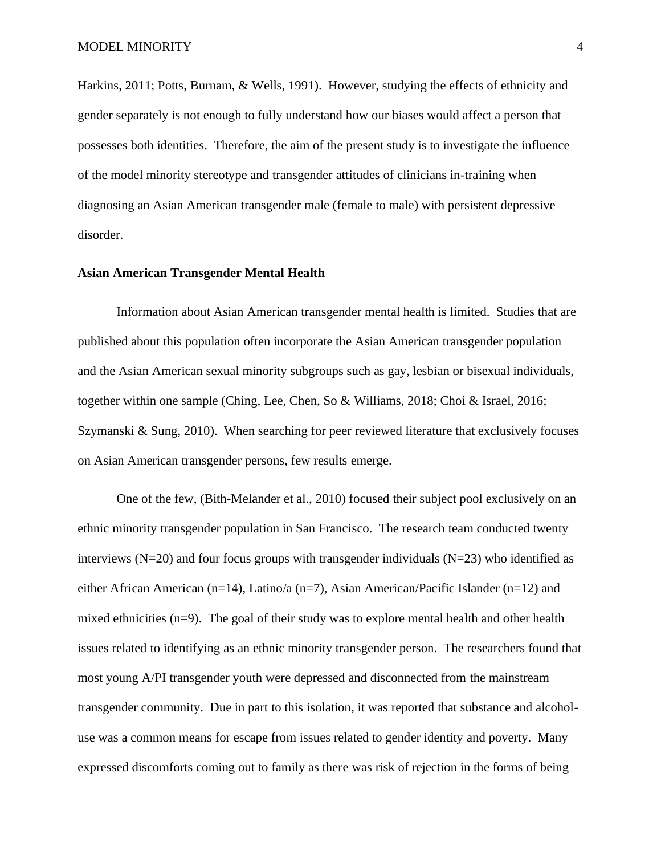Harkins, 2011; Potts, Burnam, & Wells, 1991). However, studying the effects of ethnicity and gender separately is not enough to fully understand how our biases would affect a person that possesses both identities. Therefore, the aim of the present study is to investigate the influence of the model minority stereotype and transgender attitudes of clinicians in-training when diagnosing an Asian American transgender male (female to male) with persistent depressive disorder.

#### **Asian American Transgender Mental Health**

Information about Asian American transgender mental health is limited. Studies that are published about this population often incorporate the Asian American transgender population and the Asian American sexual minority subgroups such as gay, lesbian or bisexual individuals, together within one sample (Ching, Lee, Chen, So & Williams, 2018; Choi & Israel, 2016; Szymanski & Sung, 2010). When searching for peer reviewed literature that exclusively focuses on Asian American transgender persons, few results emerge.

One of the few, (Bith-Melander et al., 2010) focused their subject pool exclusively on an ethnic minority transgender population in San Francisco. The research team conducted twenty interviews ( $N=20$ ) and four focus groups with transgender individuals ( $N=23$ ) who identified as either African American (n=14), Latino/a (n=7), Asian American/Pacific Islander (n=12) and mixed ethnicities (n=9). The goal of their study was to explore mental health and other health issues related to identifying as an ethnic minority transgender person. The researchers found that most young A/PI transgender youth were depressed and disconnected from the mainstream transgender community. Due in part to this isolation, it was reported that substance and alcoholuse was a common means for escape from issues related to gender identity and poverty. Many expressed discomforts coming out to family as there was risk of rejection in the forms of being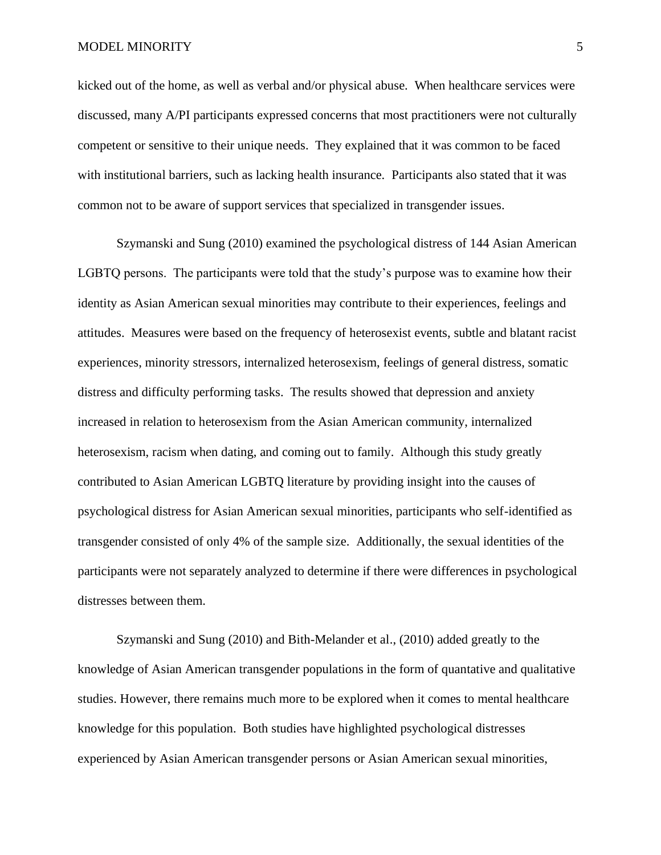kicked out of the home, as well as verbal and/or physical abuse. When healthcare services were discussed, many A/PI participants expressed concerns that most practitioners were not culturally competent or sensitive to their unique needs. They explained that it was common to be faced with institutional barriers, such as lacking health insurance. Participants also stated that it was common not to be aware of support services that specialized in transgender issues.

Szymanski and Sung (2010) examined the psychological distress of 144 Asian American LGBTQ persons. The participants were told that the study's purpose was to examine how their identity as Asian American sexual minorities may contribute to their experiences, feelings and attitudes. Measures were based on the frequency of heterosexist events, subtle and blatant racist experiences, minority stressors, internalized heterosexism, feelings of general distress, somatic distress and difficulty performing tasks. The results showed that depression and anxiety increased in relation to heterosexism from the Asian American community, internalized heterosexism, racism when dating, and coming out to family. Although this study greatly contributed to Asian American LGBTQ literature by providing insight into the causes of psychological distress for Asian American sexual minorities, participants who self-identified as transgender consisted of only 4% of the sample size. Additionally, the sexual identities of the participants were not separately analyzed to determine if there were differences in psychological distresses between them.

Szymanski and Sung (2010) and Bith-Melander et al., (2010) added greatly to the knowledge of Asian American transgender populations in the form of quantative and qualitative studies. However, there remains much more to be explored when it comes to mental healthcare knowledge for this population. Both studies have highlighted psychological distresses experienced by Asian American transgender persons or Asian American sexual minorities,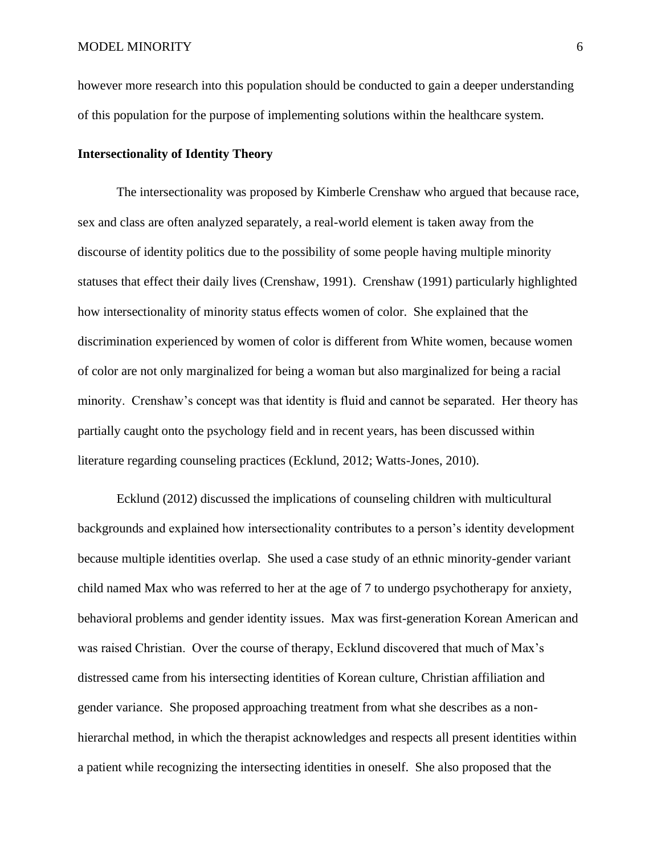however more research into this population should be conducted to gain a deeper understanding of this population for the purpose of implementing solutions within the healthcare system.

#### **Intersectionality of Identity Theory**

The intersectionality was proposed by Kimberle Crenshaw who argued that because race, sex and class are often analyzed separately, a real-world element is taken away from the discourse of identity politics due to the possibility of some people having multiple minority statuses that effect their daily lives (Crenshaw, 1991). Crenshaw (1991) particularly highlighted how intersectionality of minority status effects women of color. She explained that the discrimination experienced by women of color is different from White women, because women of color are not only marginalized for being a woman but also marginalized for being a racial minority. Crenshaw's concept was that identity is fluid and cannot be separated. Her theory has partially caught onto the psychology field and in recent years, has been discussed within literature regarding counseling practices (Ecklund, 2012; Watts-Jones, 2010).

Ecklund (2012) discussed the implications of counseling children with multicultural backgrounds and explained how intersectionality contributes to a person's identity development because multiple identities overlap. She used a case study of an ethnic minority-gender variant child named Max who was referred to her at the age of 7 to undergo psychotherapy for anxiety, behavioral problems and gender identity issues. Max was first-generation Korean American and was raised Christian. Over the course of therapy, Ecklund discovered that much of Max's distressed came from his intersecting identities of Korean culture, Christian affiliation and gender variance. She proposed approaching treatment from what she describes as a nonhierarchal method, in which the therapist acknowledges and respects all present identities within a patient while recognizing the intersecting identities in oneself. She also proposed that the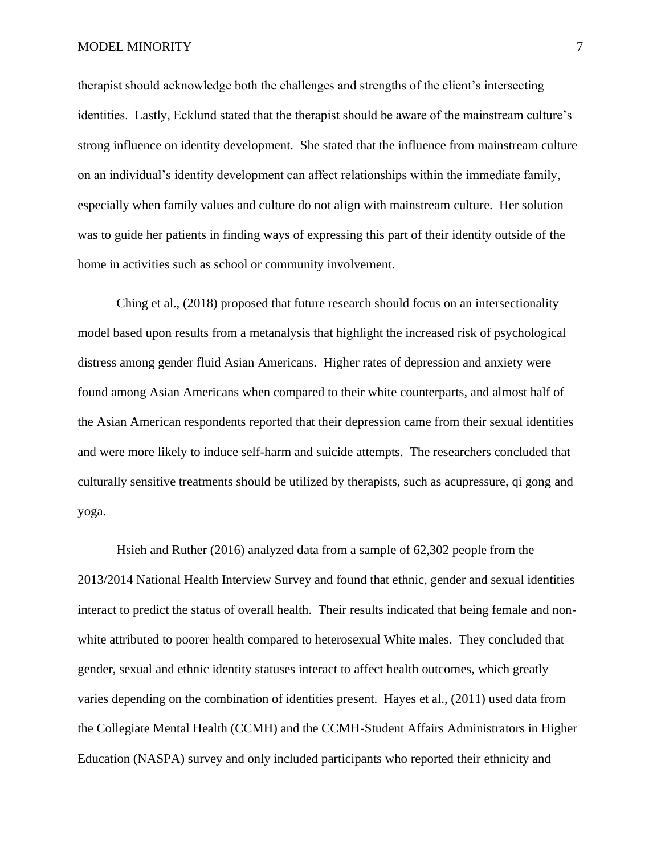#### MODEL MINORITY 7

therapist should acknowledge both the challenges and strengths of the client's intersecting identities. Lastly, Ecklund stated that the therapist should be aware of the mainstream culture's strong influence on identity development. She stated that the influence from mainstream culture on an individual's identity development can affect relationships within the immediate family, especially when family values and culture do not align with mainstream culture. Her solution was to guide her patients in finding ways of expressing this part of their identity outside of the home in activities such as school or community involvement.

Ching et al., (2018) proposed that future research should focus on an intersectionality model based upon results from a metanalysis that highlight the increased risk of psychological distress among gender fluid Asian Americans. Higher rates of depression and anxiety were found among Asian Americans when compared to their white counterparts, and almost half of the Asian American respondents reported that their depression came from their sexual identities and were more likely to induce self-harm and suicide attempts. The researchers concluded that culturally sensitive treatments should be utilized by therapists, such as acupressure, qi gong and yoga.

Hsieh and Ruther (2016) analyzed data from a sample of 62,302 people from the 2013/2014 National Health Interview Survey and found that ethnic, gender and sexual identities interact to predict the status of overall health. Their results indicated that being female and nonwhite attributed to poorer health compared to heterosexual White males. They concluded that gender, sexual and ethnic identity statuses interact to affect health outcomes, which greatly varies depending on the combination of identities present. Hayes et al., (2011) used data from the Collegiate Mental Health (CCMH) and the CCMH-Student Affairs Administrators in Higher Education (NASPA) survey and only included participants who reported their ethnicity and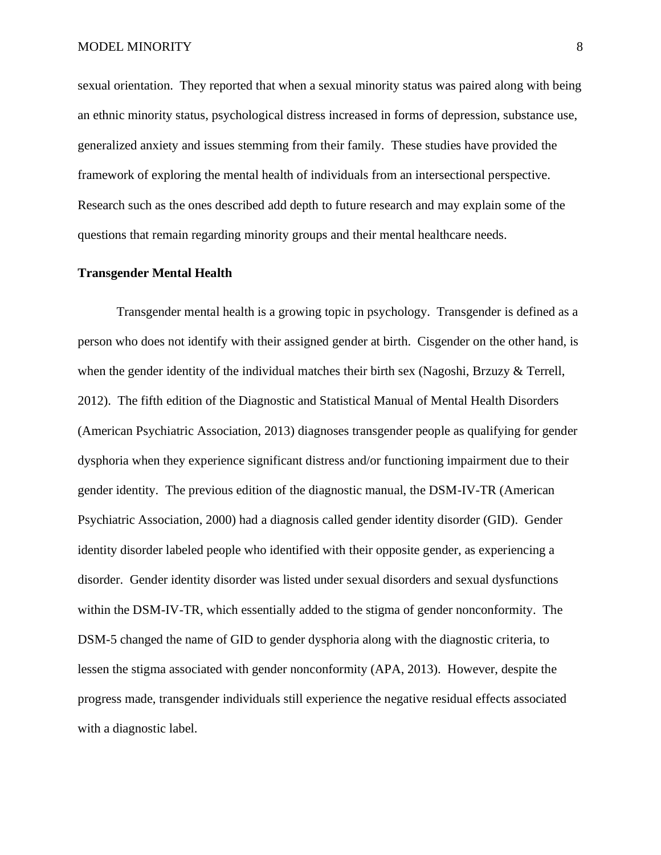sexual orientation. They reported that when a sexual minority status was paired along with being an ethnic minority status, psychological distress increased in forms of depression, substance use, generalized anxiety and issues stemming from their family. These studies have provided the framework of exploring the mental health of individuals from an intersectional perspective. Research such as the ones described add depth to future research and may explain some of the questions that remain regarding minority groups and their mental healthcare needs.

#### **Transgender Mental Health**

Transgender mental health is a growing topic in psychology. Transgender is defined as a person who does not identify with their assigned gender at birth. Cisgender on the other hand, is when the gender identity of the individual matches their birth sex (Nagoshi, Brzuzy & Terrell, 2012). The fifth edition of the Diagnostic and Statistical Manual of Mental Health Disorders (American Psychiatric Association, 2013) diagnoses transgender people as qualifying for gender dysphoria when they experience significant distress and/or functioning impairment due to their gender identity. The previous edition of the diagnostic manual, the DSM-IV-TR (American Psychiatric Association, 2000) had a diagnosis called gender identity disorder (GID). Gender identity disorder labeled people who identified with their opposite gender, as experiencing a disorder. Gender identity disorder was listed under sexual disorders and sexual dysfunctions within the DSM-IV-TR, which essentially added to the stigma of gender nonconformity. The DSM-5 changed the name of GID to gender dysphoria along with the diagnostic criteria, to lessen the stigma associated with gender nonconformity (APA, 2013). However, despite the progress made, transgender individuals still experience the negative residual effects associated with a diagnostic label.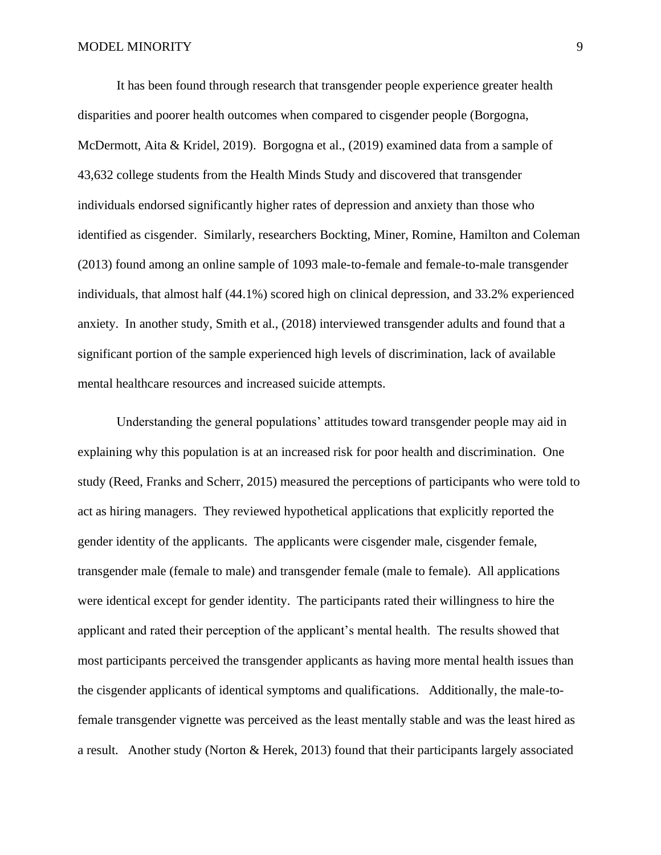It has been found through research that transgender people experience greater health disparities and poorer health outcomes when compared to cisgender people (Borgogna, McDermott, Aita & Kridel, 2019). Borgogna et al., (2019) examined data from a sample of 43,632 college students from the Health Minds Study and discovered that transgender individuals endorsed significantly higher rates of depression and anxiety than those who identified as cisgender. Similarly, researchers Bockting, Miner, Romine, Hamilton and Coleman (2013) found among an online sample of 1093 male-to-female and female-to-male transgender individuals, that almost half (44.1%) scored high on clinical depression, and 33.2% experienced anxiety. In another study, Smith et al., (2018) interviewed transgender adults and found that a significant portion of the sample experienced high levels of discrimination, lack of available mental healthcare resources and increased suicide attempts.

Understanding the general populations' attitudes toward transgender people may aid in explaining why this population is at an increased risk for poor health and discrimination. One study (Reed, Franks and Scherr, 2015) measured the perceptions of participants who were told to act as hiring managers. They reviewed hypothetical applications that explicitly reported the gender identity of the applicants. The applicants were cisgender male, cisgender female, transgender male (female to male) and transgender female (male to female). All applications were identical except for gender identity. The participants rated their willingness to hire the applicant and rated their perception of the applicant's mental health. The results showed that most participants perceived the transgender applicants as having more mental health issues than the cisgender applicants of identical symptoms and qualifications. Additionally, the male-tofemale transgender vignette was perceived as the least mentally stable and was the least hired as a result. Another study (Norton & Herek, 2013) found that their participants largely associated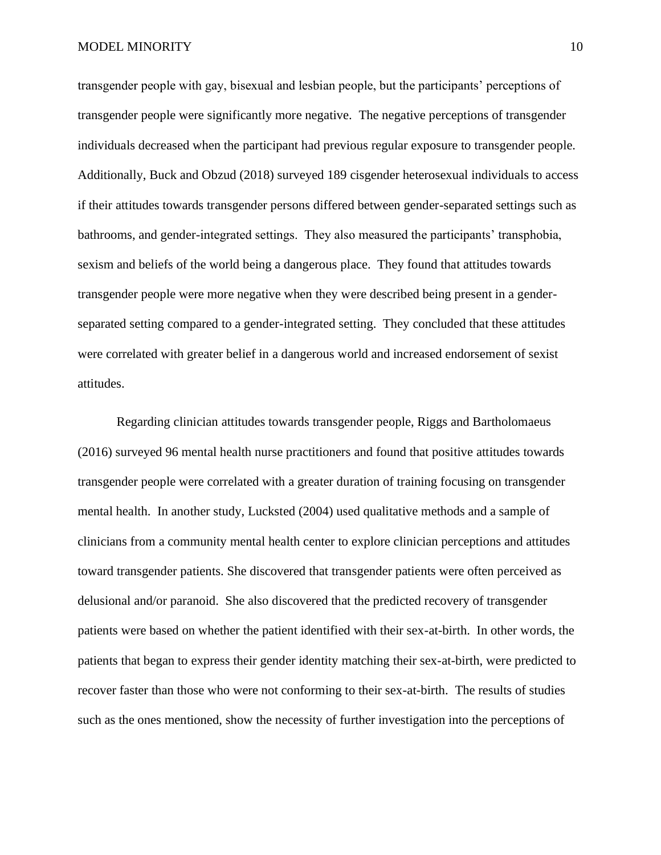transgender people with gay, bisexual and lesbian people, but the participants' perceptions of transgender people were significantly more negative. The negative perceptions of transgender individuals decreased when the participant had previous regular exposure to transgender people. Additionally, Buck and Obzud (2018) surveyed 189 cisgender heterosexual individuals to access if their attitudes towards transgender persons differed between gender-separated settings such as bathrooms, and gender-integrated settings. They also measured the participants' transphobia, sexism and beliefs of the world being a dangerous place. They found that attitudes towards transgender people were more negative when they were described being present in a genderseparated setting compared to a gender-integrated setting. They concluded that these attitudes were correlated with greater belief in a dangerous world and increased endorsement of sexist attitudes.

Regarding clinician attitudes towards transgender people, Riggs and Bartholomaeus (2016) surveyed 96 mental health nurse practitioners and found that positive attitudes towards transgender people were correlated with a greater duration of training focusing on transgender mental health. In another study, Lucksted (2004) used qualitative methods and a sample of clinicians from a community mental health center to explore clinician perceptions and attitudes toward transgender patients. She discovered that transgender patients were often perceived as delusional and/or paranoid. She also discovered that the predicted recovery of transgender patients were based on whether the patient identified with their sex-at-birth. In other words, the patients that began to express their gender identity matching their sex-at-birth, were predicted to recover faster than those who were not conforming to their sex-at-birth. The results of studies such as the ones mentioned, show the necessity of further investigation into the perceptions of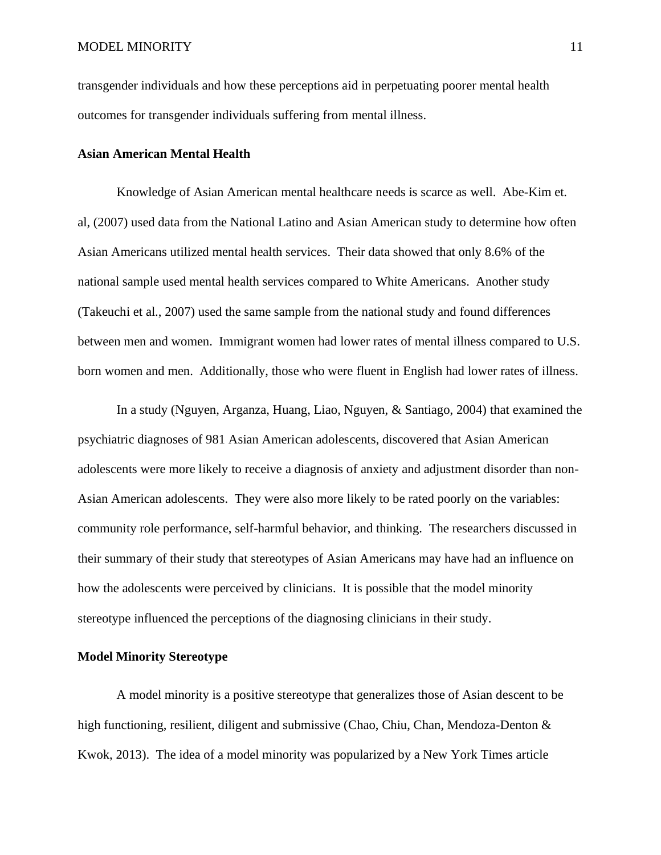transgender individuals and how these perceptions aid in perpetuating poorer mental health outcomes for transgender individuals suffering from mental illness.

#### **Asian American Mental Health**

Knowledge of Asian American mental healthcare needs is scarce as well. Abe-Kim et. al, (2007) used data from the National Latino and Asian American study to determine how often Asian Americans utilized mental health services. Their data showed that only 8.6% of the national sample used mental health services compared to White Americans. Another study (Takeuchi et al., 2007) used the same sample from the national study and found differences between men and women. Immigrant women had lower rates of mental illness compared to U.S. born women and men. Additionally, those who were fluent in English had lower rates of illness.

In a study (Nguyen, Arganza, Huang, Liao, Nguyen, & Santiago, 2004) that examined the psychiatric diagnoses of 981 Asian American adolescents, discovered that Asian American adolescents were more likely to receive a diagnosis of anxiety and adjustment disorder than non-Asian American adolescents. They were also more likely to be rated poorly on the variables: community role performance, self-harmful behavior, and thinking. The researchers discussed in their summary of their study that stereotypes of Asian Americans may have had an influence on how the adolescents were perceived by clinicians. It is possible that the model minority stereotype influenced the perceptions of the diagnosing clinicians in their study.

#### **Model Minority Stereotype**

A model minority is a positive stereotype that generalizes those of Asian descent to be high functioning, resilient, diligent and submissive (Chao, Chiu, Chan, Mendoza-Denton & Kwok, 2013). The idea of a model minority was popularized by a New York Times article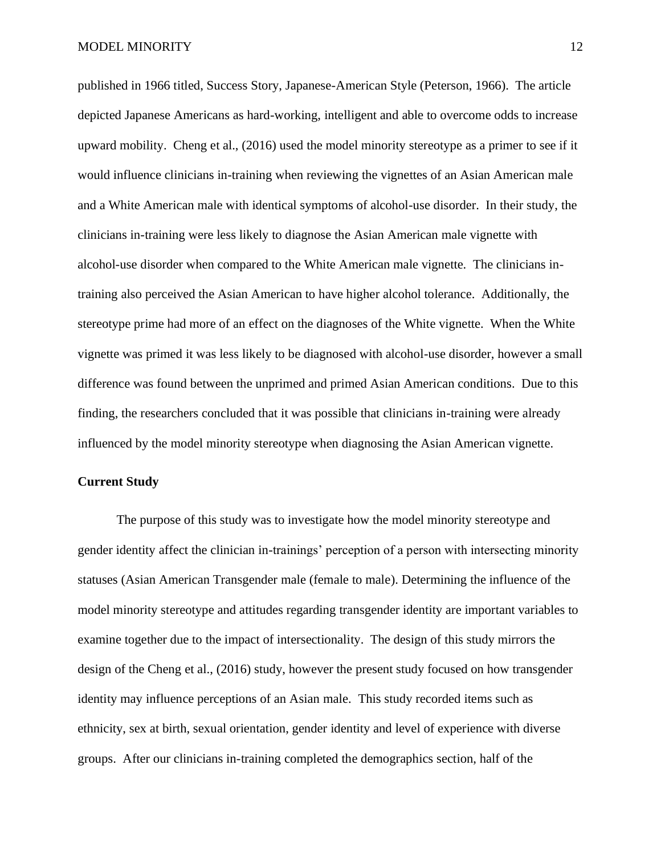published in 1966 titled, Success Story, Japanese-American Style (Peterson, 1966). The article depicted Japanese Americans as hard-working, intelligent and able to overcome odds to increase upward mobility. Cheng et al., (2016) used the model minority stereotype as a primer to see if it would influence clinicians in-training when reviewing the vignettes of an Asian American male and a White American male with identical symptoms of alcohol-use disorder. In their study, the clinicians in-training were less likely to diagnose the Asian American male vignette with alcohol-use disorder when compared to the White American male vignette. The clinicians intraining also perceived the Asian American to have higher alcohol tolerance. Additionally, the stereotype prime had more of an effect on the diagnoses of the White vignette. When the White vignette was primed it was less likely to be diagnosed with alcohol-use disorder, however a small difference was found between the unprimed and primed Asian American conditions. Due to this finding, the researchers concluded that it was possible that clinicians in-training were already influenced by the model minority stereotype when diagnosing the Asian American vignette.

#### **Current Study**

The purpose of this study was to investigate how the model minority stereotype and gender identity affect the clinician in-trainings' perception of a person with intersecting minority statuses (Asian American Transgender male (female to male). Determining the influence of the model minority stereotype and attitudes regarding transgender identity are important variables to examine together due to the impact of intersectionality. The design of this study mirrors the design of the Cheng et al., (2016) study, however the present study focused on how transgender identity may influence perceptions of an Asian male. This study recorded items such as ethnicity, sex at birth, sexual orientation, gender identity and level of experience with diverse groups. After our clinicians in-training completed the demographics section, half of the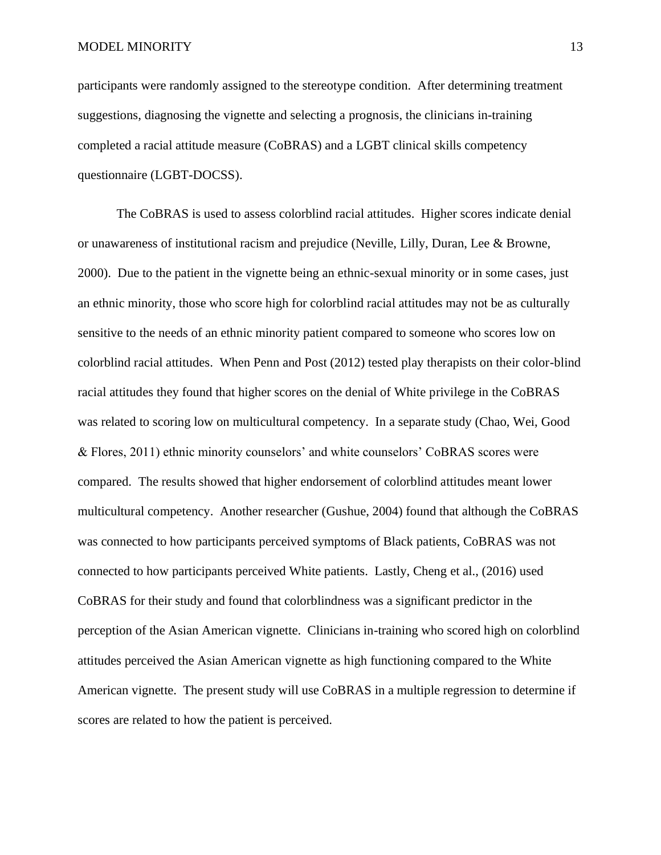participants were randomly assigned to the stereotype condition. After determining treatment suggestions, diagnosing the vignette and selecting a prognosis, the clinicians in-training completed a racial attitude measure (CoBRAS) and a LGBT clinical skills competency questionnaire (LGBT-DOCSS).

The CoBRAS is used to assess colorblind racial attitudes. Higher scores indicate denial or unawareness of institutional racism and prejudice (Neville, Lilly, Duran, Lee & Browne, 2000). Due to the patient in the vignette being an ethnic-sexual minority or in some cases, just an ethnic minority, those who score high for colorblind racial attitudes may not be as culturally sensitive to the needs of an ethnic minority patient compared to someone who scores low on colorblind racial attitudes. When Penn and Post (2012) tested play therapists on their color-blind racial attitudes they found that higher scores on the denial of White privilege in the CoBRAS was related to scoring low on multicultural competency. In a separate study (Chao, Wei, Good & Flores, 2011) ethnic minority counselors' and white counselors' CoBRAS scores were compared. The results showed that higher endorsement of colorblind attitudes meant lower multicultural competency. Another researcher (Gushue, 2004) found that although the CoBRAS was connected to how participants perceived symptoms of Black patients, CoBRAS was not connected to how participants perceived White patients. Lastly, Cheng et al., (2016) used CoBRAS for their study and found that colorblindness was a significant predictor in the perception of the Asian American vignette. Clinicians in-training who scored high on colorblind attitudes perceived the Asian American vignette as high functioning compared to the White American vignette. The present study will use CoBRAS in a multiple regression to determine if scores are related to how the patient is perceived.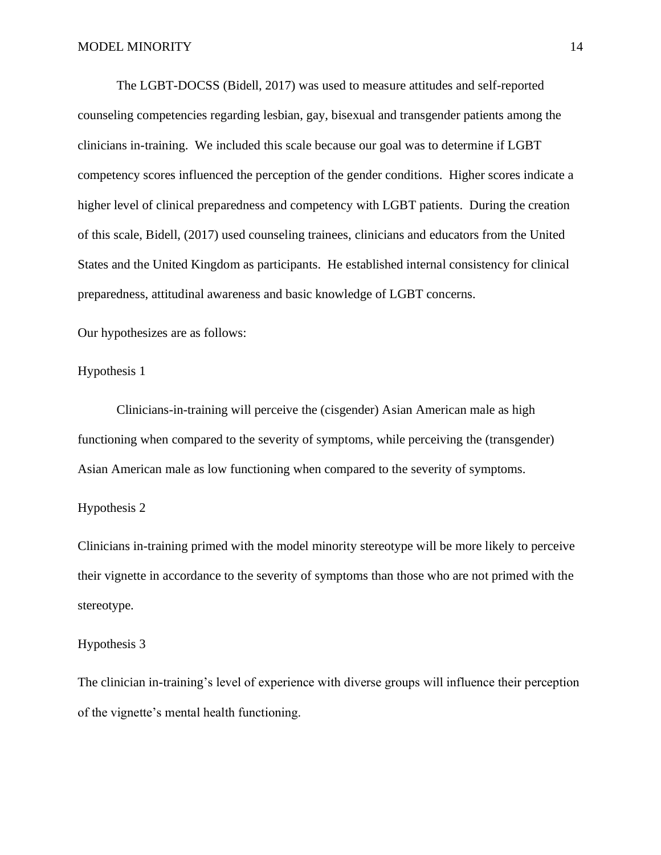The LGBT-DOCSS (Bidell, 2017) was used to measure attitudes and self-reported counseling competencies regarding lesbian, gay, bisexual and transgender patients among the clinicians in-training. We included this scale because our goal was to determine if LGBT competency scores influenced the perception of the gender conditions. Higher scores indicate a higher level of clinical preparedness and competency with LGBT patients. During the creation of this scale, Bidell, (2017) used counseling trainees, clinicians and educators from the United States and the United Kingdom as participants. He established internal consistency for clinical preparedness, attitudinal awareness and basic knowledge of LGBT concerns.

Our hypothesizes are as follows:

Hypothesis 1

Clinicians-in-training will perceive the (cisgender) Asian American male as high functioning when compared to the severity of symptoms, while perceiving the (transgender) Asian American male as low functioning when compared to the severity of symptoms.

#### Hypothesis 2

Clinicians in-training primed with the model minority stereotype will be more likely to perceive their vignette in accordance to the severity of symptoms than those who are not primed with the stereotype.

#### Hypothesis 3

The clinician in-training's level of experience with diverse groups will influence their perception of the vignette's mental health functioning.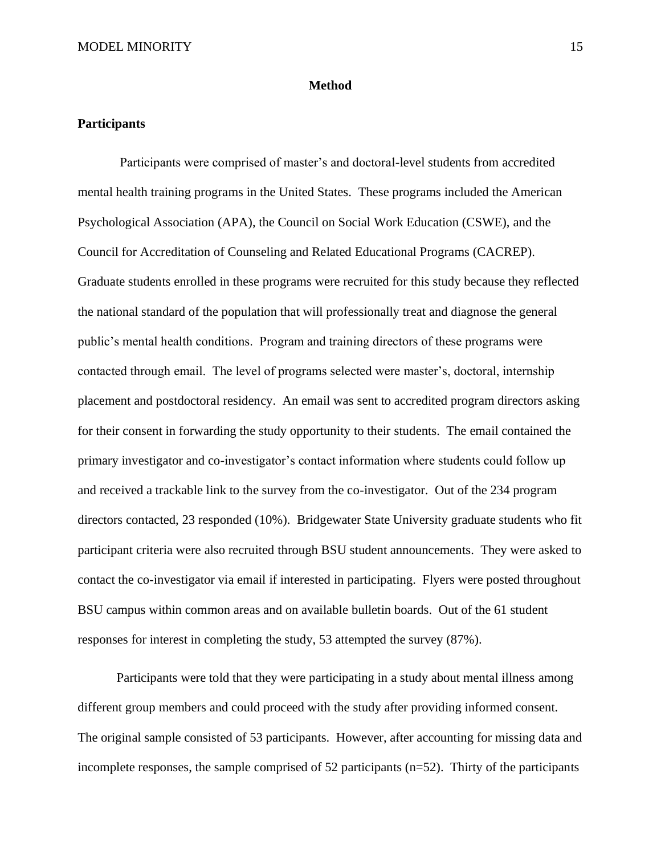#### **Method**

#### **Participants**

Participants were comprised of master's and doctoral-level students from accredited mental health training programs in the United States. These programs included the American Psychological Association (APA), the Council on Social Work Education (CSWE), and the Council for Accreditation of Counseling and Related Educational Programs (CACREP). Graduate students enrolled in these programs were recruited for this study because they reflected the national standard of the population that will professionally treat and diagnose the general public's mental health conditions. Program and training directors of these programs were contacted through email. The level of programs selected were master's, doctoral, internship placement and postdoctoral residency. An email was sent to accredited program directors asking for their consent in forwarding the study opportunity to their students. The email contained the primary investigator and co-investigator's contact information where students could follow up and received a trackable link to the survey from the co-investigator. Out of the 234 program directors contacted, 23 responded (10%). Bridgewater State University graduate students who fit participant criteria were also recruited through BSU student announcements. They were asked to contact the co-investigator via email if interested in participating. Flyers were posted throughout BSU campus within common areas and on available bulletin boards. Out of the 61 student responses for interest in completing the study, 53 attempted the survey (87%).

Participants were told that they were participating in a study about mental illness among different group members and could proceed with the study after providing informed consent. The original sample consisted of 53 participants. However, after accounting for missing data and incomplete responses, the sample comprised of 52 participants (n=52). Thirty of the participants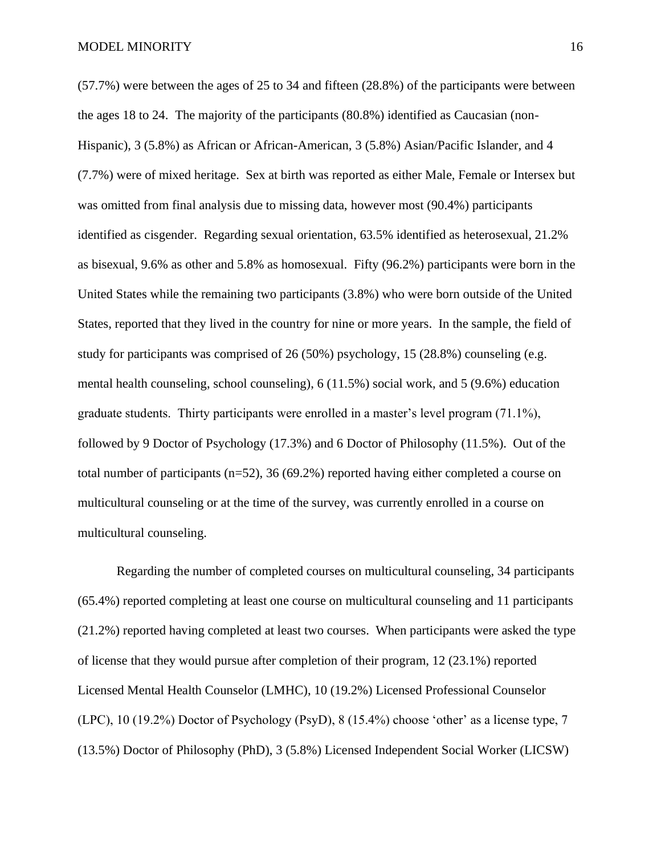#### MODEL MINORITY 16

(57.7%) were between the ages of 25 to 34 and fifteen (28.8%) of the participants were between the ages 18 to 24. The majority of the participants (80.8%) identified as Caucasian (non-Hispanic), 3 (5.8%) as African or African-American, 3 (5.8%) Asian/Pacific Islander, and 4 (7.7%) were of mixed heritage. Sex at birth was reported as either Male, Female or Intersex but was omitted from final analysis due to missing data, however most (90.4%) participants identified as cisgender. Regarding sexual orientation, 63.5% identified as heterosexual, 21.2% as bisexual, 9.6% as other and 5.8% as homosexual. Fifty (96.2%) participants were born in the United States while the remaining two participants (3.8%) who were born outside of the United States, reported that they lived in the country for nine or more years. In the sample, the field of study for participants was comprised of 26 (50%) psychology, 15 (28.8%) counseling (e.g. mental health counseling, school counseling), 6 (11.5%) social work, and 5 (9.6%) education graduate students. Thirty participants were enrolled in a master's level program (71.1%), followed by 9 Doctor of Psychology (17.3%) and 6 Doctor of Philosophy (11.5%). Out of the total number of participants (n=52), 36 (69.2%) reported having either completed a course on multicultural counseling or at the time of the survey, was currently enrolled in a course on multicultural counseling.

Regarding the number of completed courses on multicultural counseling, 34 participants (65.4%) reported completing at least one course on multicultural counseling and 11 participants (21.2%) reported having completed at least two courses. When participants were asked the type of license that they would pursue after completion of their program, 12 (23.1%) reported Licensed Mental Health Counselor (LMHC), 10 (19.2%) Licensed Professional Counselor (LPC), 10 (19.2%) Doctor of Psychology (PsyD), 8 (15.4%) choose 'other' as a license type, 7 (13.5%) Doctor of Philosophy (PhD), 3 (5.8%) Licensed Independent Social Worker (LICSW)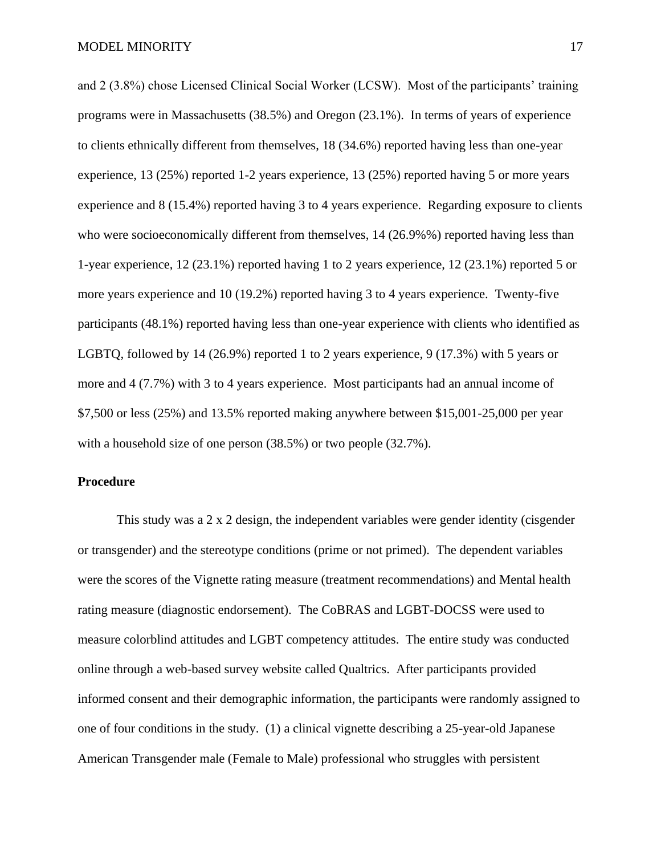and 2 (3.8%) chose Licensed Clinical Social Worker (LCSW). Most of the participants' training programs were in Massachusetts (38.5%) and Oregon (23.1%). In terms of years of experience to clients ethnically different from themselves, 18 (34.6%) reported having less than one-year experience, 13 (25%) reported 1-2 years experience, 13 (25%) reported having 5 or more years experience and 8 (15.4%) reported having 3 to 4 years experience. Regarding exposure to clients who were socioeconomically different from themselves, 14 (26.9%%) reported having less than 1-year experience, 12 (23.1%) reported having 1 to 2 years experience, 12 (23.1%) reported 5 or more years experience and 10 (19.2%) reported having 3 to 4 years experience. Twenty-five participants (48.1%) reported having less than one-year experience with clients who identified as LGBTQ, followed by 14 (26.9%) reported 1 to 2 years experience, 9 (17.3%) with 5 years or more and 4 (7.7%) with 3 to 4 years experience. Most participants had an annual income of \$7,500 or less (25%) and 13.5% reported making anywhere between \$15,001-25,000 per year with a household size of one person (38.5%) or two people (32.7%).

#### **Procedure**

This study was a 2 x 2 design, the independent variables were gender identity (cisgender or transgender) and the stereotype conditions (prime or not primed). The dependent variables were the scores of the Vignette rating measure (treatment recommendations) and Mental health rating measure (diagnostic endorsement). The CoBRAS and LGBT-DOCSS were used to measure colorblind attitudes and LGBT competency attitudes. The entire study was conducted online through a web-based survey website called Qualtrics. After participants provided informed consent and their demographic information, the participants were randomly assigned to one of four conditions in the study. (1) a clinical vignette describing a 25-year-old Japanese American Transgender male (Female to Male) professional who struggles with persistent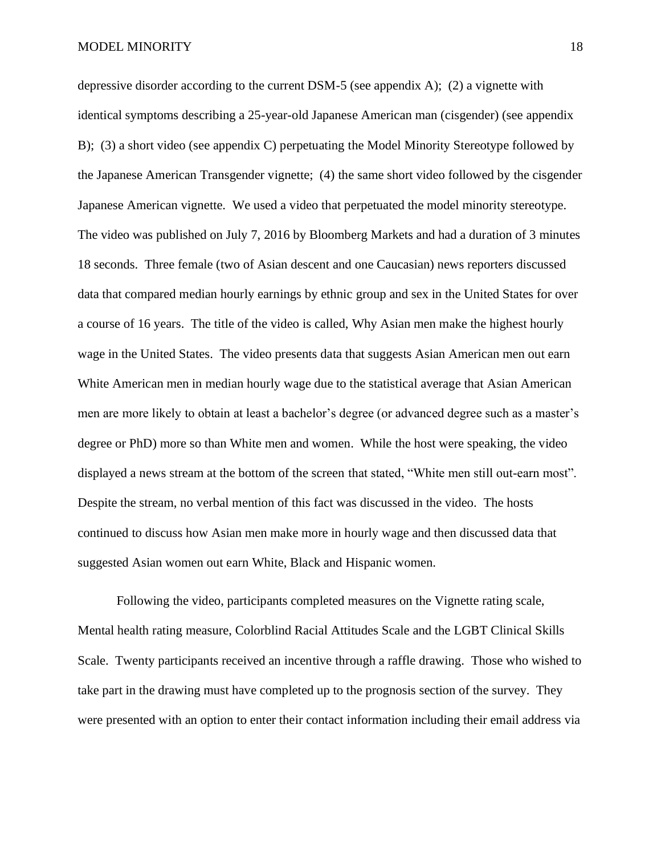depressive disorder according to the current DSM-5 (see appendix A); (2) a vignette with identical symptoms describing a 25-year-old Japanese American man (cisgender) (see appendix B); (3) a short video (see appendix C) perpetuating the Model Minority Stereotype followed by the Japanese American Transgender vignette; (4) the same short video followed by the cisgender Japanese American vignette. We used a video that perpetuated the model minority stereotype. The video was published on July 7, 2016 by Bloomberg Markets and had a duration of 3 minutes 18 seconds. Three female (two of Asian descent and one Caucasian) news reporters discussed data that compared median hourly earnings by ethnic group and sex in the United States for over a course of 16 years. The title of the video is called, Why Asian men make the highest hourly wage in the United States. The video presents data that suggests Asian American men out earn White American men in median hourly wage due to the statistical average that Asian American men are more likely to obtain at least a bachelor's degree (or advanced degree such as a master's degree or PhD) more so than White men and women. While the host were speaking, the video displayed a news stream at the bottom of the screen that stated, "White men still out-earn most". Despite the stream, no verbal mention of this fact was discussed in the video. The hosts continued to discuss how Asian men make more in hourly wage and then discussed data that suggested Asian women out earn White, Black and Hispanic women.

Following the video, participants completed measures on the Vignette rating scale, Mental health rating measure, Colorblind Racial Attitudes Scale and the LGBT Clinical Skills Scale. Twenty participants received an incentive through a raffle drawing. Those who wished to take part in the drawing must have completed up to the prognosis section of the survey. They were presented with an option to enter their contact information including their email address via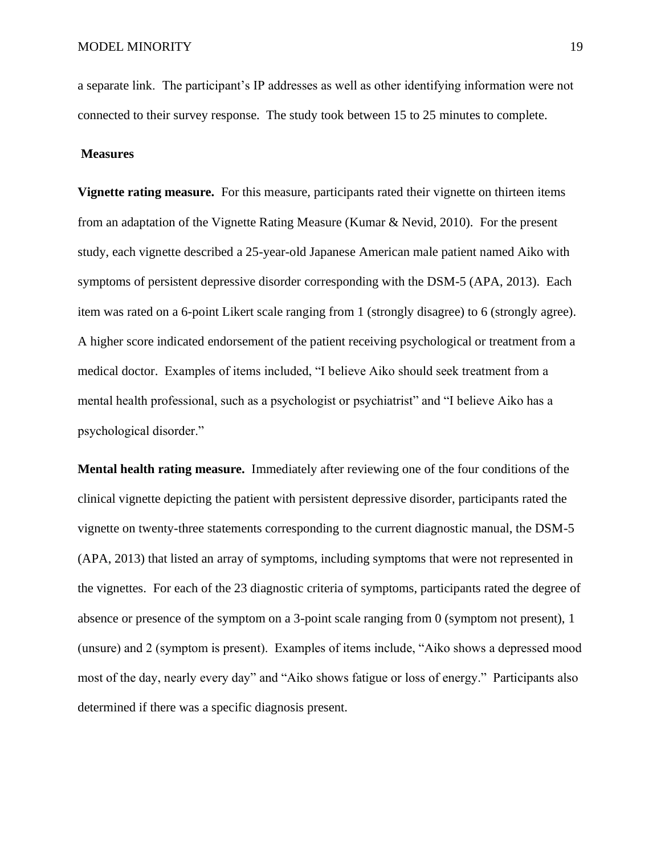a separate link. The participant's IP addresses as well as other identifying information were not connected to their survey response. The study took between 15 to 25 minutes to complete.

#### **Measures**

**Vignette rating measure.** For this measure, participants rated their vignette on thirteen items from an adaptation of the Vignette Rating Measure (Kumar & Nevid, 2010). For the present study, each vignette described a 25-year-old Japanese American male patient named Aiko with symptoms of persistent depressive disorder corresponding with the DSM-5 (APA, 2013). Each item was rated on a 6-point Likert scale ranging from 1 (strongly disagree) to 6 (strongly agree). A higher score indicated endorsement of the patient receiving psychological or treatment from a medical doctor. Examples of items included, "I believe Aiko should seek treatment from a mental health professional, such as a psychologist or psychiatrist" and "I believe Aiko has a psychological disorder."

**Mental health rating measure.** Immediately after reviewing one of the four conditions of the clinical vignette depicting the patient with persistent depressive disorder, participants rated the vignette on twenty-three statements corresponding to the current diagnostic manual, the DSM-5 (APA, 2013) that listed an array of symptoms, including symptoms that were not represented in the vignettes. For each of the 23 diagnostic criteria of symptoms, participants rated the degree of absence or presence of the symptom on a 3-point scale ranging from 0 (symptom not present), 1 (unsure) and 2 (symptom is present). Examples of items include, "Aiko shows a depressed mood most of the day, nearly every day" and "Aiko shows fatigue or loss of energy." Participants also determined if there was a specific diagnosis present.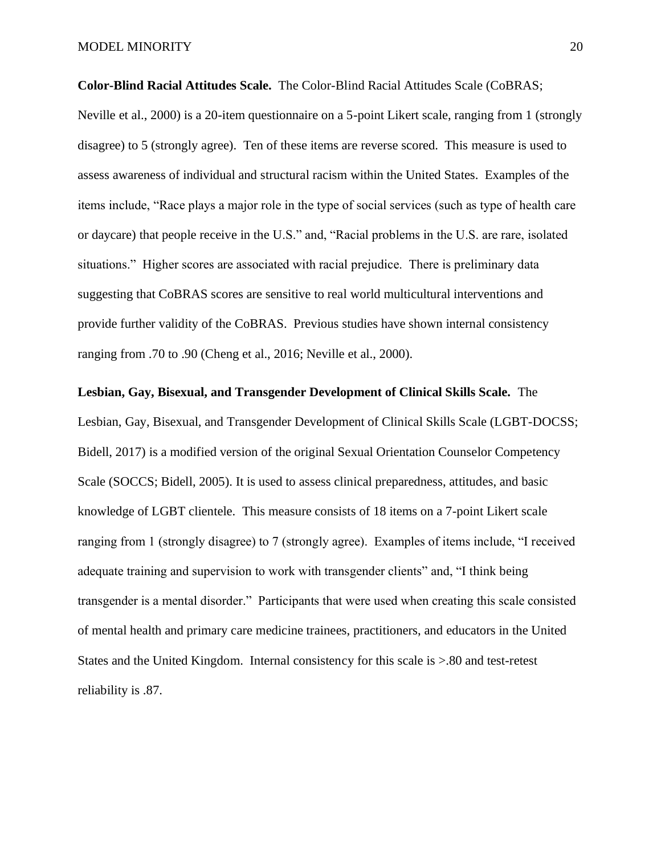**Color-Blind Racial Attitudes Scale.** The Color-Blind Racial Attitudes Scale (CoBRAS;

Neville et al., 2000) is a 20-item questionnaire on a 5-point Likert scale, ranging from 1 (strongly disagree) to 5 (strongly agree). Ten of these items are reverse scored. This measure is used to assess awareness of individual and structural racism within the United States. Examples of the items include, "Race plays a major role in the type of social services (such as type of health care or daycare) that people receive in the U.S." and, "Racial problems in the U.S. are rare, isolated situations." Higher scores are associated with racial prejudice. There is preliminary data suggesting that CoBRAS scores are sensitive to real world multicultural interventions and provide further validity of the CoBRAS. Previous studies have shown internal consistency ranging from .70 to .90 (Cheng et al., 2016; Neville et al., 2000).

#### **Lesbian, Gay, Bisexual, and Transgender Development of Clinical Skills Scale.** The

Lesbian, Gay, Bisexual, and Transgender Development of Clinical Skills Scale (LGBT-DOCSS; Bidell, 2017) is a modified version of the original Sexual Orientation Counselor Competency Scale (SOCCS; Bidell, 2005). It is used to assess clinical preparedness, attitudes, and basic knowledge of LGBT clientele. This measure consists of 18 items on a 7-point Likert scale ranging from 1 (strongly disagree) to 7 (strongly agree). Examples of items include, "I received adequate training and supervision to work with transgender clients" and, "I think being transgender is a mental disorder." Participants that were used when creating this scale consisted of mental health and primary care medicine trainees, practitioners, and educators in the United States and the United Kingdom. Internal consistency for this scale is >.80 and test-retest reliability is .87.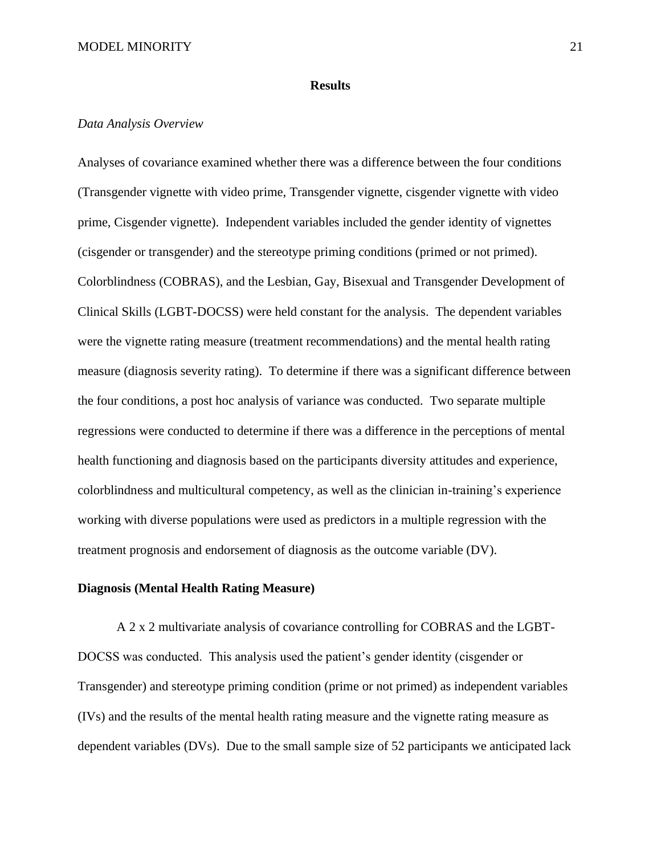#### **Results**

#### *Data Analysis Overview*

Analyses of covariance examined whether there was a difference between the four conditions (Transgender vignette with video prime, Transgender vignette, cisgender vignette with video prime, Cisgender vignette). Independent variables included the gender identity of vignettes (cisgender or transgender) and the stereotype priming conditions (primed or not primed). Colorblindness (COBRAS), and the Lesbian, Gay, Bisexual and Transgender Development of Clinical Skills (LGBT-DOCSS) were held constant for the analysis. The dependent variables were the vignette rating measure (treatment recommendations) and the mental health rating measure (diagnosis severity rating). To determine if there was a significant difference between the four conditions, a post hoc analysis of variance was conducted. Two separate multiple regressions were conducted to determine if there was a difference in the perceptions of mental health functioning and diagnosis based on the participants diversity attitudes and experience, colorblindness and multicultural competency, as well as the clinician in-training's experience working with diverse populations were used as predictors in a multiple regression with the treatment prognosis and endorsement of diagnosis as the outcome variable (DV).

#### **Diagnosis (Mental Health Rating Measure)**

A 2 x 2 multivariate analysis of covariance controlling for COBRAS and the LGBT-DOCSS was conducted. This analysis used the patient's gender identity (cisgender or Transgender) and stereotype priming condition (prime or not primed) as independent variables (IVs) and the results of the mental health rating measure and the vignette rating measure as dependent variables (DVs). Due to the small sample size of 52 participants we anticipated lack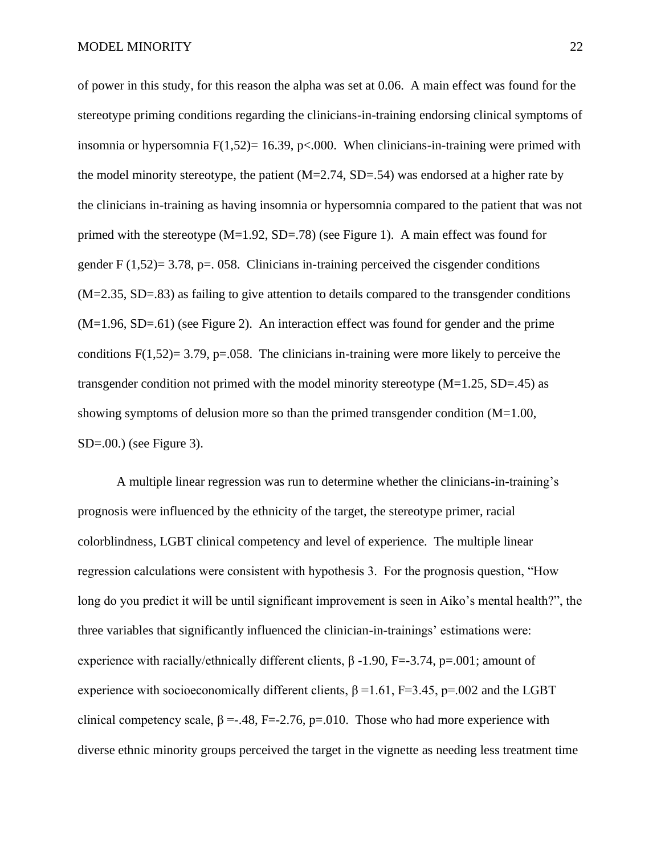of power in this study, for this reason the alpha was set at 0.06. A main effect was found for the stereotype priming conditions regarding the clinicians-in-training endorsing clinical symptoms of insomnia or hypersomnia  $F(1,52)= 16.39$ , p<.000. When clinicians-in-training were primed with the model minority stereotype, the patient  $(M=2.74, SD=.54)$  was endorsed at a higher rate by the clinicians in-training as having insomnia or hypersomnia compared to the patient that was not primed with the stereotype  $(M=1.92, SD=.78)$  (see Figure 1). A main effect was found for gender  $F(1,52)=3.78$ , p=. 058. Clinicians in-training perceived the cisgender conditions (M=2.35, SD=.83) as failing to give attention to details compared to the transgender conditions (M=1.96, SD=.61) (see Figure 2). An interaction effect was found for gender and the prime conditions  $F(1,52)=3.79$ , p=.058. The clinicians in-training were more likely to perceive the transgender condition not primed with the model minority stereotype  $(M=1.25, SD=.45)$  as showing symptoms of delusion more so than the primed transgender condition  $(M=1.00,$ SD=.00.) (see Figure 3).

A multiple linear regression was run to determine whether the clinicians-in-training's prognosis were influenced by the ethnicity of the target, the stereotype primer, racial colorblindness, LGBT clinical competency and level of experience. The multiple linear regression calculations were consistent with hypothesis 3. For the prognosis question, "How long do you predict it will be until significant improvement is seen in Aiko's mental health?", the three variables that significantly influenced the clinician-in-trainings' estimations were: experience with racially/ethnically different clients,  $\beta$  -1.90, F=-3.74, p=.001; amount of experience with socioeconomically different clients,  $\beta = 1.61$ , F=3.45, p=.002 and the LGBT clinical competency scale,  $\beta = -0.48$ , F=-2.76, p=.010. Those who had more experience with diverse ethnic minority groups perceived the target in the vignette as needing less treatment time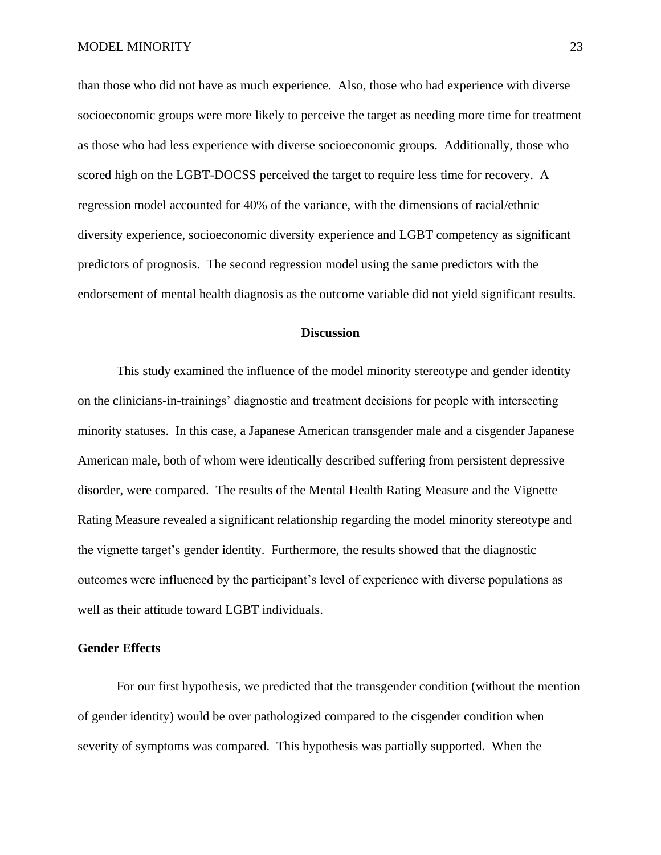than those who did not have as much experience. Also, those who had experience with diverse socioeconomic groups were more likely to perceive the target as needing more time for treatment as those who had less experience with diverse socioeconomic groups. Additionally, those who scored high on the LGBT-DOCSS perceived the target to require less time for recovery. A regression model accounted for 40% of the variance, with the dimensions of racial/ethnic diversity experience, socioeconomic diversity experience and LGBT competency as significant predictors of prognosis. The second regression model using the same predictors with the endorsement of mental health diagnosis as the outcome variable did not yield significant results.

#### **Discussion**

This study examined the influence of the model minority stereotype and gender identity on the clinicians-in-trainings' diagnostic and treatment decisions for people with intersecting minority statuses. In this case, a Japanese American transgender male and a cisgender Japanese American male, both of whom were identically described suffering from persistent depressive disorder, were compared. The results of the Mental Health Rating Measure and the Vignette Rating Measure revealed a significant relationship regarding the model minority stereotype and the vignette target's gender identity. Furthermore, the results showed that the diagnostic outcomes were influenced by the participant's level of experience with diverse populations as well as their attitude toward LGBT individuals.

#### **Gender Effects**

For our first hypothesis, we predicted that the transgender condition (without the mention of gender identity) would be over pathologized compared to the cisgender condition when severity of symptoms was compared. This hypothesis was partially supported. When the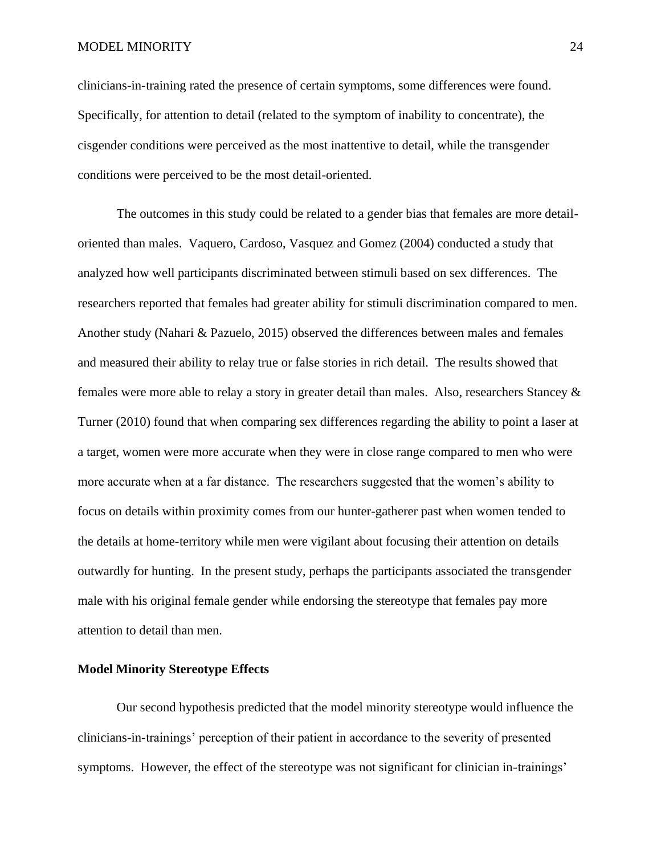#### MODEL MINORITY 24

clinicians-in-training rated the presence of certain symptoms, some differences were found. Specifically, for attention to detail (related to the symptom of inability to concentrate), the cisgender conditions were perceived as the most inattentive to detail, while the transgender conditions were perceived to be the most detail-oriented.

The outcomes in this study could be related to a gender bias that females are more detailoriented than males. Vaquero, Cardoso, Vasquez and Gomez (2004) conducted a study that analyzed how well participants discriminated between stimuli based on sex differences. The researchers reported that females had greater ability for stimuli discrimination compared to men. Another study (Nahari & Pazuelo, 2015) observed the differences between males and females and measured their ability to relay true or false stories in rich detail. The results showed that females were more able to relay a story in greater detail than males. Also, researchers Stancey & Turner (2010) found that when comparing sex differences regarding the ability to point a laser at a target, women were more accurate when they were in close range compared to men who were more accurate when at a far distance. The researchers suggested that the women's ability to focus on details within proximity comes from our hunter-gatherer past when women tended to the details at home-territory while men were vigilant about focusing their attention on details outwardly for hunting. In the present study, perhaps the participants associated the transgender male with his original female gender while endorsing the stereotype that females pay more attention to detail than men.

#### **Model Minority Stereotype Effects**

Our second hypothesis predicted that the model minority stereotype would influence the clinicians-in-trainings' perception of their patient in accordance to the severity of presented symptoms. However, the effect of the stereotype was not significant for clinician in-trainings'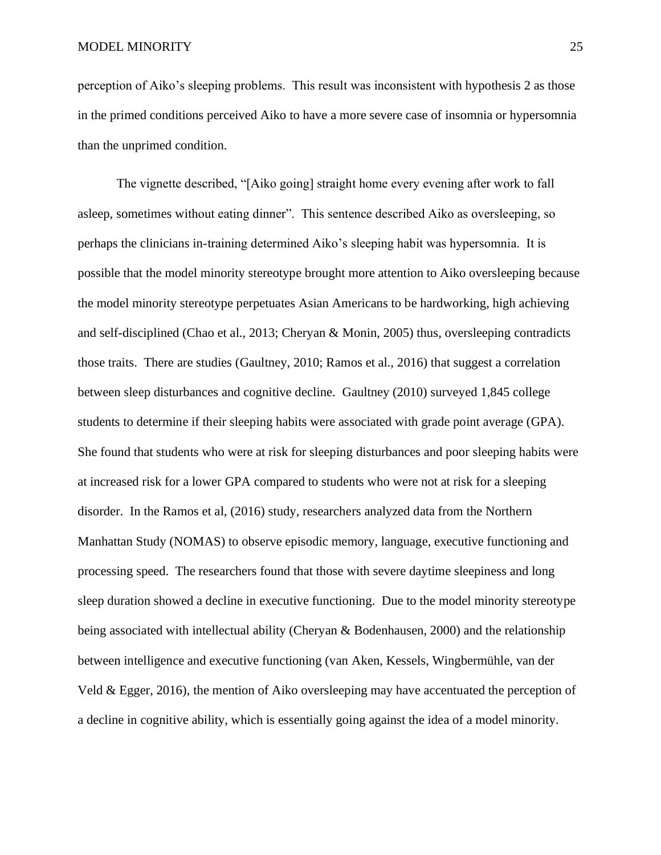perception of Aiko's sleeping problems. This result was inconsistent with hypothesis 2 as those in the primed conditions perceived Aiko to have a more severe case of insomnia or hypersomnia than the unprimed condition.

The vignette described, "[Aiko going] straight home every evening after work to fall asleep, sometimes without eating dinner". This sentence described Aiko as oversleeping, so perhaps the clinicians in-training determined Aiko's sleeping habit was hypersomnia. It is possible that the model minority stereotype brought more attention to Aiko oversleeping because the model minority stereotype perpetuates Asian Americans to be hardworking, high achieving and self-disciplined (Chao et al., 2013; Cheryan & Monin, 2005) thus, oversleeping contradicts those traits. There are studies (Gaultney, 2010; Ramos et al., 2016) that suggest a correlation between sleep disturbances and cognitive decline. Gaultney (2010) surveyed 1,845 college students to determine if their sleeping habits were associated with grade point average (GPA). She found that students who were at risk for sleeping disturbances and poor sleeping habits were at increased risk for a lower GPA compared to students who were not at risk for a sleeping disorder. In the Ramos et al, (2016) study, researchers analyzed data from the Northern Manhattan Study (NOMAS) to observe episodic memory, language, executive functioning and processing speed. The researchers found that those with severe daytime sleepiness and long sleep duration showed a decline in executive functioning. Due to the model minority stereotype being associated with intellectual ability (Cheryan & Bodenhausen, 2000) and the relationship between intelligence and executive functioning (van Aken, Kessels, Wingbermühle, van der Veld & Egger, 2016), the mention of Aiko oversleeping may have accentuated the perception of a decline in cognitive ability, which is essentially going against the idea of a model minority.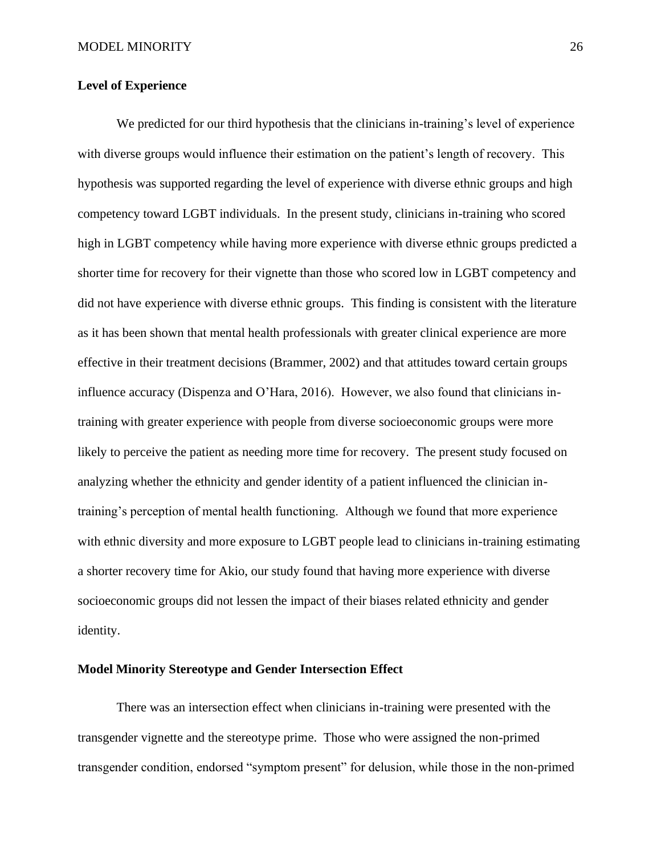#### **Level of Experience**

We predicted for our third hypothesis that the clinicians in-training's level of experience with diverse groups would influence their estimation on the patient's length of recovery. This hypothesis was supported regarding the level of experience with diverse ethnic groups and high competency toward LGBT individuals. In the present study, clinicians in-training who scored high in LGBT competency while having more experience with diverse ethnic groups predicted a shorter time for recovery for their vignette than those who scored low in LGBT competency and did not have experience with diverse ethnic groups. This finding is consistent with the literature as it has been shown that mental health professionals with greater clinical experience are more effective in their treatment decisions (Brammer, 2002) and that attitudes toward certain groups influence accuracy (Dispenza and O'Hara, 2016). However, we also found that clinicians intraining with greater experience with people from diverse socioeconomic groups were more likely to perceive the patient as needing more time for recovery. The present study focused on analyzing whether the ethnicity and gender identity of a patient influenced the clinician intraining's perception of mental health functioning. Although we found that more experience with ethnic diversity and more exposure to LGBT people lead to clinicians in-training estimating a shorter recovery time for Akio, our study found that having more experience with diverse socioeconomic groups did not lessen the impact of their biases related ethnicity and gender identity.

#### **Model Minority Stereotype and Gender Intersection Effect**

There was an intersection effect when clinicians in-training were presented with the transgender vignette and the stereotype prime. Those who were assigned the non-primed transgender condition, endorsed "symptom present" for delusion, while those in the non-primed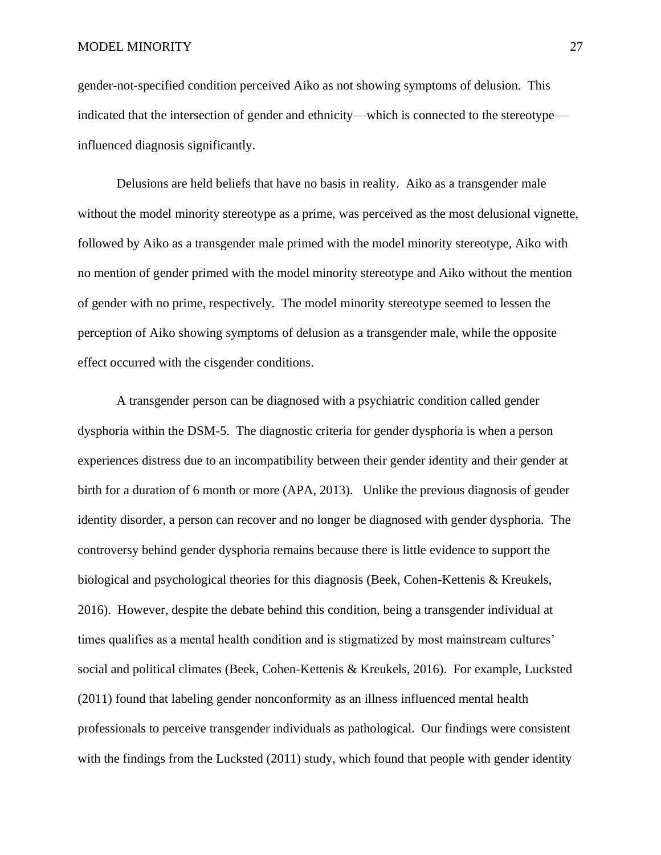#### MODEL MINORITY 27

gender-not-specified condition perceived Aiko as not showing symptoms of delusion. This indicated that the intersection of gender and ethnicity—which is connected to the stereotype influenced diagnosis significantly.

Delusions are held beliefs that have no basis in reality. Aiko as a transgender male without the model minority stereotype as a prime, was perceived as the most delusional vignette, followed by Aiko as a transgender male primed with the model minority stereotype, Aiko with no mention of gender primed with the model minority stereotype and Aiko without the mention of gender with no prime, respectively. The model minority stereotype seemed to lessen the perception of Aiko showing symptoms of delusion as a transgender male, while the opposite effect occurred with the cisgender conditions.

 A transgender person can be diagnosed with a psychiatric condition called gender dysphoria within the DSM-5. The diagnostic criteria for gender dysphoria is when a person experiences distress due to an incompatibility between their gender identity and their gender at birth for a duration of 6 month or more (APA, 2013). Unlike the previous diagnosis of gender identity disorder, a person can recover and no longer be diagnosed with gender dysphoria. The controversy behind gender dysphoria remains because there is little evidence to support the biological and psychological theories for this diagnosis (Beek, Cohen-Kettenis & Kreukels, 2016). However, despite the debate behind this condition, being a transgender individual at times qualifies as a mental health condition and is stigmatized by most mainstream cultures' social and political climates (Beek, Cohen-Kettenis & Kreukels, 2016). For example, Lucksted (2011) found that labeling gender nonconformity as an illness influenced mental health professionals to perceive transgender individuals as pathological. Our findings were consistent with the findings from the Lucksted (2011) study, which found that people with gender identity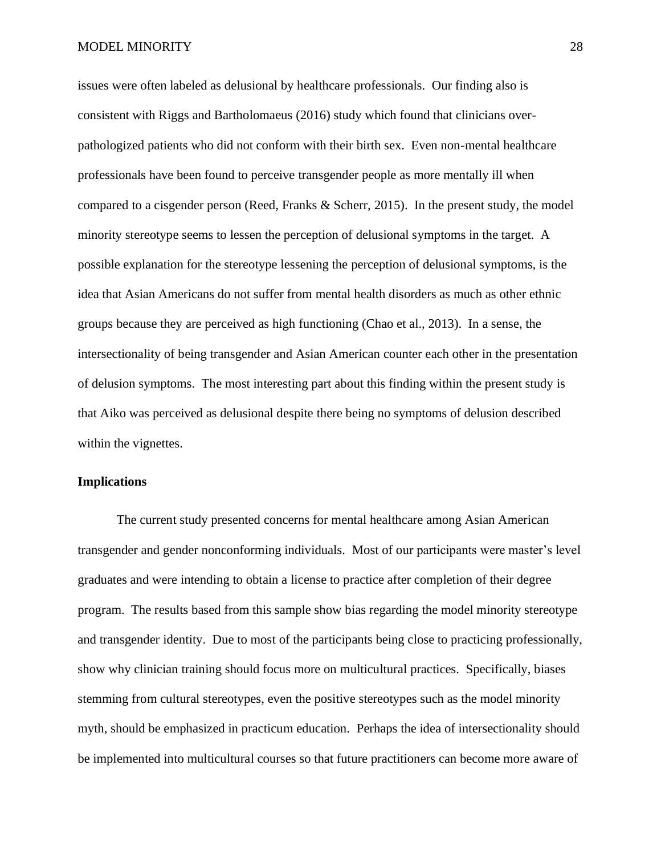issues were often labeled as delusional by healthcare professionals. Our finding also is consistent with Riggs and Bartholomaeus (2016) study which found that clinicians overpathologized patients who did not conform with their birth sex. Even non-mental healthcare professionals have been found to perceive transgender people as more mentally ill when compared to a cisgender person (Reed, Franks & Scherr, 2015). In the present study, the model minority stereotype seems to lessen the perception of delusional symptoms in the target. A possible explanation for the stereotype lessening the perception of delusional symptoms, is the idea that Asian Americans do not suffer from mental health disorders as much as other ethnic groups because they are perceived as high functioning (Chao et al., 2013). In a sense, the intersectionality of being transgender and Asian American counter each other in the presentation of delusion symptoms. The most interesting part about this finding within the present study is that Aiko was perceived as delusional despite there being no symptoms of delusion described within the vignettes.

#### **Implications**

The current study presented concerns for mental healthcare among Asian American transgender and gender nonconforming individuals. Most of our participants were master's level graduates and were intending to obtain a license to practice after completion of their degree program. The results based from this sample show bias regarding the model minority stereotype and transgender identity. Due to most of the participants being close to practicing professionally, show why clinician training should focus more on multicultural practices. Specifically, biases stemming from cultural stereotypes, even the positive stereotypes such as the model minority myth, should be emphasized in practicum education. Perhaps the idea of intersectionality should be implemented into multicultural courses so that future practitioners can become more aware of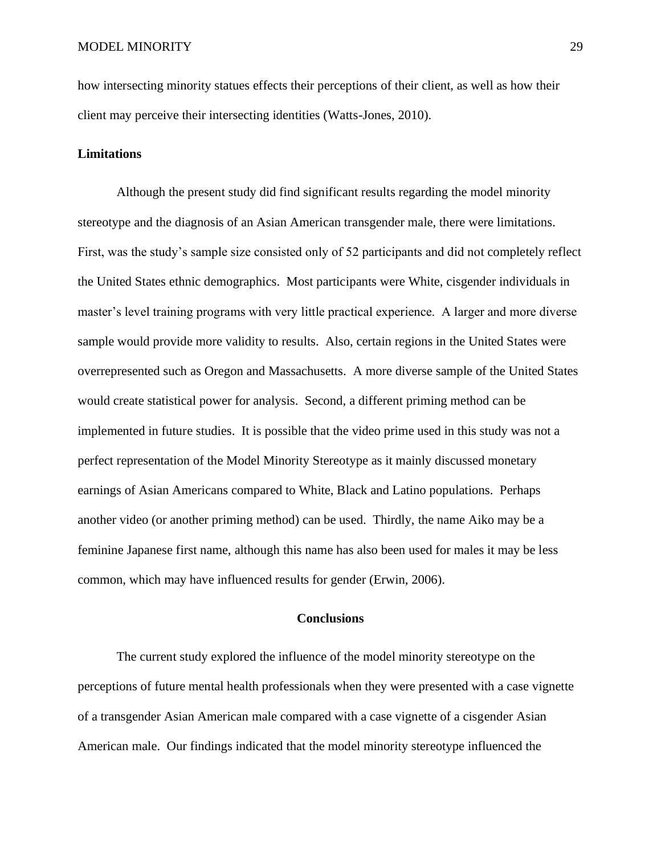how intersecting minority statues effects their perceptions of their client, as well as how their client may perceive their intersecting identities (Watts-Jones, 2010).

#### **Limitations**

Although the present study did find significant results regarding the model minority stereotype and the diagnosis of an Asian American transgender male, there were limitations. First, was the study's sample size consisted only of 52 participants and did not completely reflect the United States ethnic demographics. Most participants were White, cisgender individuals in master's level training programs with very little practical experience. A larger and more diverse sample would provide more validity to results. Also, certain regions in the United States were overrepresented such as Oregon and Massachusetts. A more diverse sample of the United States would create statistical power for analysis. Second, a different priming method can be implemented in future studies. It is possible that the video prime used in this study was not a perfect representation of the Model Minority Stereotype as it mainly discussed monetary earnings of Asian Americans compared to White, Black and Latino populations. Perhaps another video (or another priming method) can be used. Thirdly, the name Aiko may be a feminine Japanese first name, although this name has also been used for males it may be less common, which may have influenced results for gender (Erwin, 2006).

#### **Conclusions**

The current study explored the influence of the model minority stereotype on the perceptions of future mental health professionals when they were presented with a case vignette of a transgender Asian American male compared with a case vignette of a cisgender Asian American male. Our findings indicated that the model minority stereotype influenced the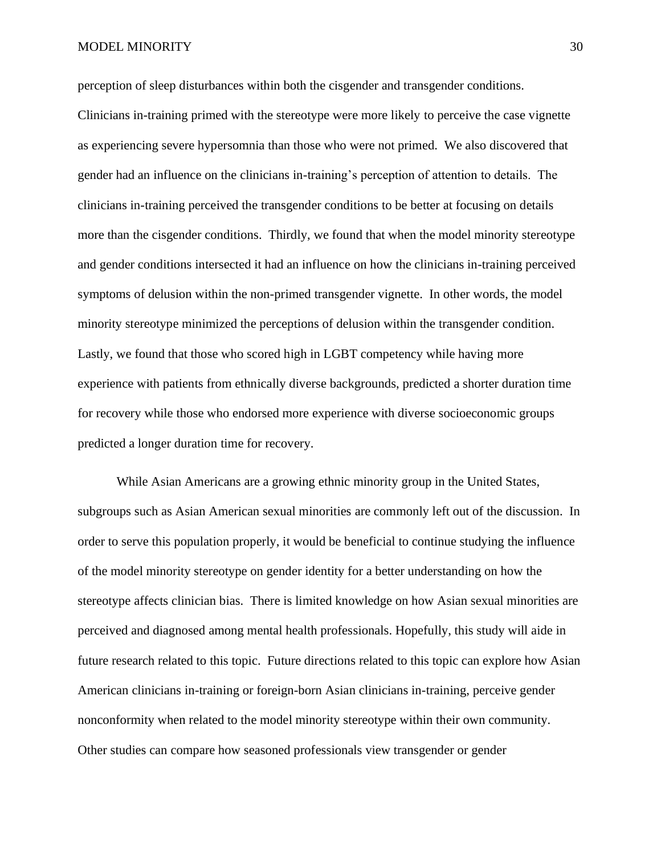#### MODEL MINORITY 30

perception of sleep disturbances within both the cisgender and transgender conditions. Clinicians in-training primed with the stereotype were more likely to perceive the case vignette as experiencing severe hypersomnia than those who were not primed. We also discovered that gender had an influence on the clinicians in-training's perception of attention to details. The clinicians in-training perceived the transgender conditions to be better at focusing on details more than the cisgender conditions. Thirdly, we found that when the model minority stereotype and gender conditions intersected it had an influence on how the clinicians in-training perceived symptoms of delusion within the non-primed transgender vignette. In other words, the model minority stereotype minimized the perceptions of delusion within the transgender condition. Lastly, we found that those who scored high in LGBT competency while having more experience with patients from ethnically diverse backgrounds, predicted a shorter duration time for recovery while those who endorsed more experience with diverse socioeconomic groups predicted a longer duration time for recovery.

While Asian Americans are a growing ethnic minority group in the United States, subgroups such as Asian American sexual minorities are commonly left out of the discussion. In order to serve this population properly, it would be beneficial to continue studying the influence of the model minority stereotype on gender identity for a better understanding on how the stereotype affects clinician bias. There is limited knowledge on how Asian sexual minorities are perceived and diagnosed among mental health professionals. Hopefully, this study will aide in future research related to this topic. Future directions related to this topic can explore how Asian American clinicians in-training or foreign-born Asian clinicians in-training, perceive gender nonconformity when related to the model minority stereotype within their own community. Other studies can compare how seasoned professionals view transgender or gender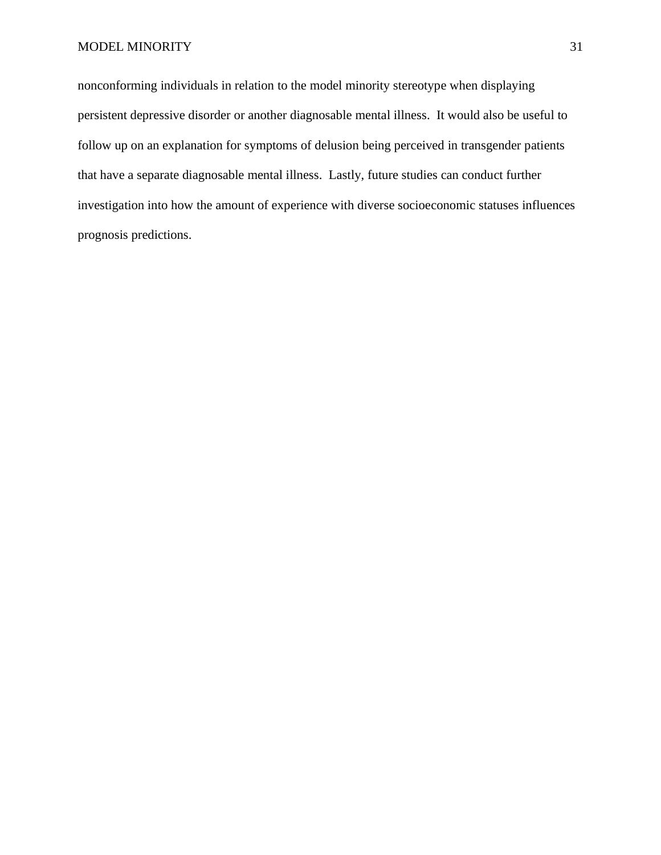#### MODEL MINORITY 31

nonconforming individuals in relation to the model minority stereotype when displaying persistent depressive disorder or another diagnosable mental illness. It would also be useful to follow up on an explanation for symptoms of delusion being perceived in transgender patients that have a separate diagnosable mental illness. Lastly, future studies can conduct further investigation into how the amount of experience with diverse socioeconomic statuses influences prognosis predictions.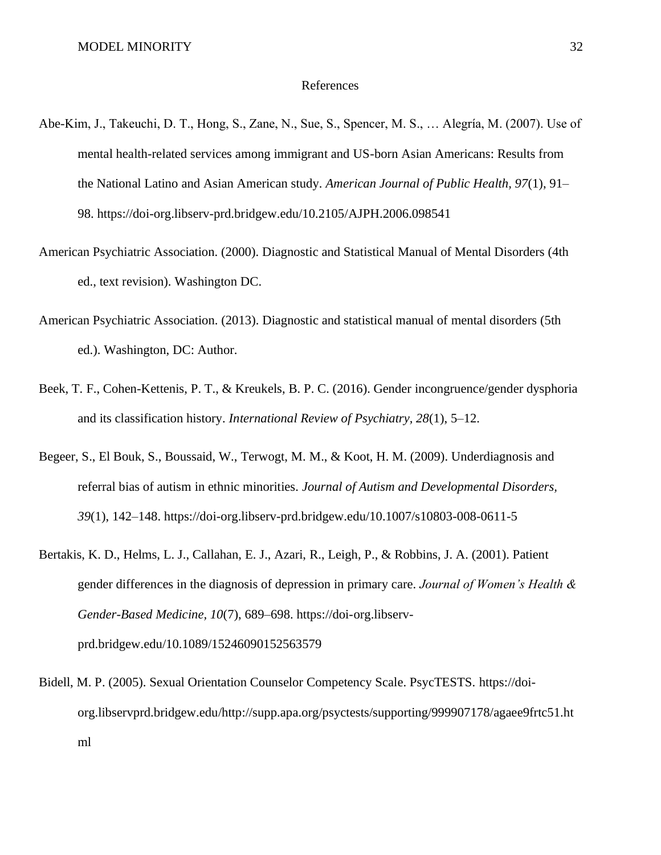#### References

- Abe-Kim, J., Takeuchi, D. T., Hong, S., Zane, N., Sue, S., Spencer, M. S., … Alegría, M. (2007). Use of mental health-related services among immigrant and US-born Asian Americans: Results from the National Latino and Asian American study. *American Journal of Public Health, 97*(1), 91– 98. https://doi-org.libserv-prd.bridgew.edu/10.2105/AJPH.2006.098541
- American Psychiatric Association. (2000). Diagnostic and Statistical Manual of Mental Disorders (4th ed., text revision). Washington DC.
- American Psychiatric Association. (2013). Diagnostic and statistical manual of mental disorders (5th ed.). Washington, DC: Author.
- Beek, T. F., Cohen-Kettenis, P. T., & Kreukels, B. P. C. (2016). Gender incongruence/gender dysphoria and its classification history. *International Review of Psychiatry, 28*(1), 5–12.
- Begeer, S., El Bouk, S., Boussaid, W., Terwogt, M. M., & Koot, H. M. (2009). Underdiagnosis and referral bias of autism in ethnic minorities. *Journal of Autism and Developmental Disorders, 39*(1), 142–148. https://doi-org.libserv-prd.bridgew.edu/10.1007/s10803-008-0611-5
- Bertakis, K. D., Helms, L. J., Callahan, E. J., Azari, R., Leigh, P., & Robbins, J. A. (2001). Patient gender differences in the diagnosis of depression in primary care. *Journal of Women's Health & Gender-Based Medicine, 10*(7), 689–698. https://doi-org.libservprd.bridgew.edu/10.1089/15246090152563579
- Bidell, M. P. (2005). Sexual Orientation Counselor Competency Scale. PsycTESTS. https://doiorg.libservprd.bridgew.edu/http://supp.apa.org/psyctests/supporting/999907178/agaee9frtc51.ht ml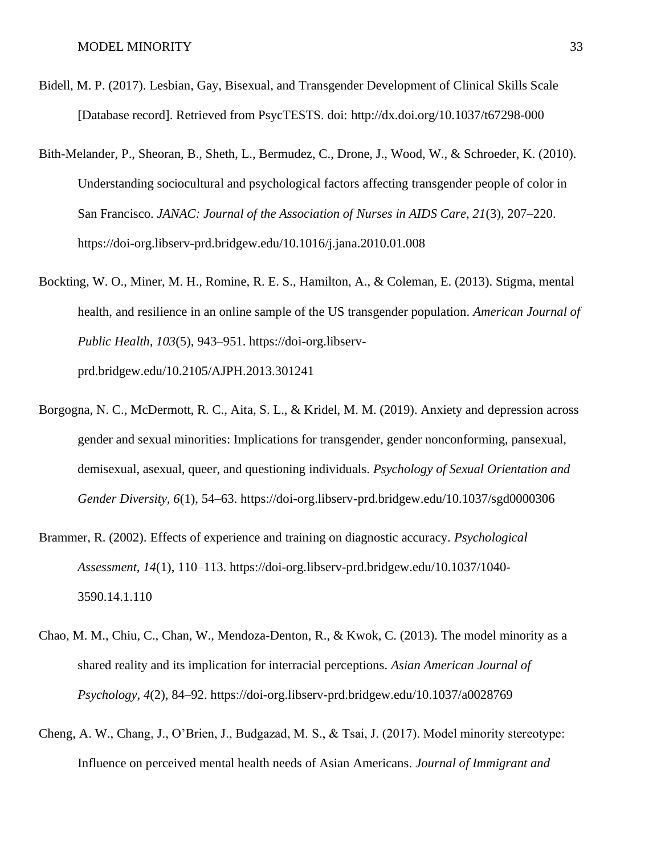- Bidell, M. P. (2017). Lesbian, Gay, Bisexual, and Transgender Development of Clinical Skills Scale [Database record]. Retrieved from PsycTESTS. doi: http://dx.doi.org/10.1037/t67298-000
- Bith-Melander, P., Sheoran, B., Sheth, L., Bermudez, C., Drone, J., Wood, W., & Schroeder, K. (2010). Understanding sociocultural and psychological factors affecting transgender people of color in San Francisco. *JANAC: Journal of the Association of Nurses in AIDS Care, 21*(3), 207–220. https://doi-org.libserv-prd.bridgew.edu/10.1016/j.jana.2010.01.008
- Bockting, W. O., Miner, M. H., Romine, R. E. S., Hamilton, A., & Coleman, E. (2013). Stigma, mental health, and resilience in an online sample of the US transgender population. *American Journal of Public Health, 103*(5), 943–951. https://doi-org.libserv-

prd.bridgew.edu/10.2105/AJPH.2013.301241

- Borgogna, N. C., McDermott, R. C., Aita, S. L., & Kridel, M. M. (2019). Anxiety and depression across gender and sexual minorities: Implications for transgender, gender nonconforming, pansexual, demisexual, asexual, queer, and questioning individuals. *Psychology of Sexual Orientation and Gender Diversity, 6*(1), 54–63. https://doi-org.libserv-prd.bridgew.edu/10.1037/sgd0000306
- Brammer, R. (2002). Effects of experience and training on diagnostic accuracy. *Psychological Assessment, 14*(1), 110–113. https://doi-org.libserv-prd.bridgew.edu/10.1037/1040- 3590.14.1.110
- Chao, M. M., Chiu, C., Chan, W., Mendoza-Denton, R., & Kwok, C. (2013). The model minority as a shared reality and its implication for interracial perceptions. *Asian American Journal of Psychology, 4*(2), 84–92. https://doi-org.libserv-prd.bridgew.edu/10.1037/a0028769
- Cheng, A. W., Chang, J., O'Brien, J., Budgazad, M. S., & Tsai, J. (2017). Model minority stereotype: Influence on perceived mental health needs of Asian Americans. *Journal of Immigrant and*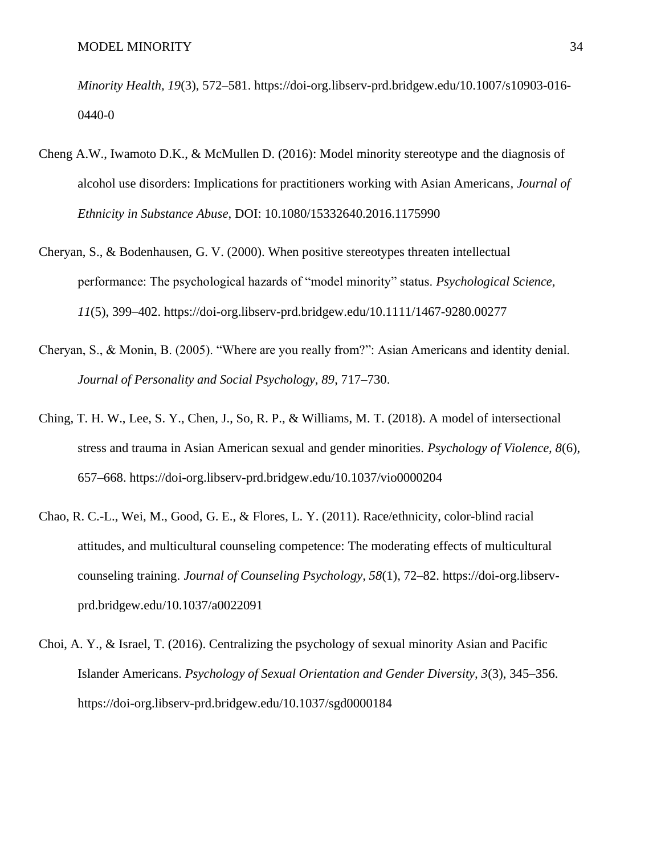*Minority Health, 19*(3), 572–581. https://doi-org.libserv-prd.bridgew.edu/10.1007/s10903-016- 0440-0

- Cheng A.W., Iwamoto D.K., & McMullen D. (2016): Model minority stereotype and the diagnosis of alcohol use disorders: Implications for practitioners working with Asian Americans*, Journal of Ethnicity in Substance Abuse*, DOI: 10.1080/15332640.2016.1175990
- Cheryan, S., & Bodenhausen, G. V. (2000). When positive stereotypes threaten intellectual performance: The psychological hazards of "model minority" status. *Psychological Science, 11*(5), 399–402. https://doi-org.libserv-prd.bridgew.edu/10.1111/1467-9280.00277
- Cheryan, S., & Monin, B. (2005). "Where are you really from?": Asian Americans and identity denial. *Journal of Personality and Social Psychology, 89*, 717–730.
- Ching, T. H. W., Lee, S. Y., Chen, J., So, R. P., & Williams, M. T. (2018). A model of intersectional stress and trauma in Asian American sexual and gender minorities. *Psychology of Violence, 8*(6), 657–668. https://doi-org.libserv-prd.bridgew.edu/10.1037/vio0000204
- Chao, R. C.-L., Wei, M., Good, G. E., & Flores, L. Y. (2011). Race/ethnicity, color-blind racial attitudes, and multicultural counseling competence: The moderating effects of multicultural counseling training. *Journal of Counseling Psychology, 58*(1), 72–82. https://doi-org.libservprd.bridgew.edu/10.1037/a0022091
- Choi, A. Y., & Israel, T. (2016). Centralizing the psychology of sexual minority Asian and Pacific Islander Americans. *Psychology of Sexual Orientation and Gender Diversity, 3*(3), 345–356. https://doi-org.libserv-prd.bridgew.edu/10.1037/sgd0000184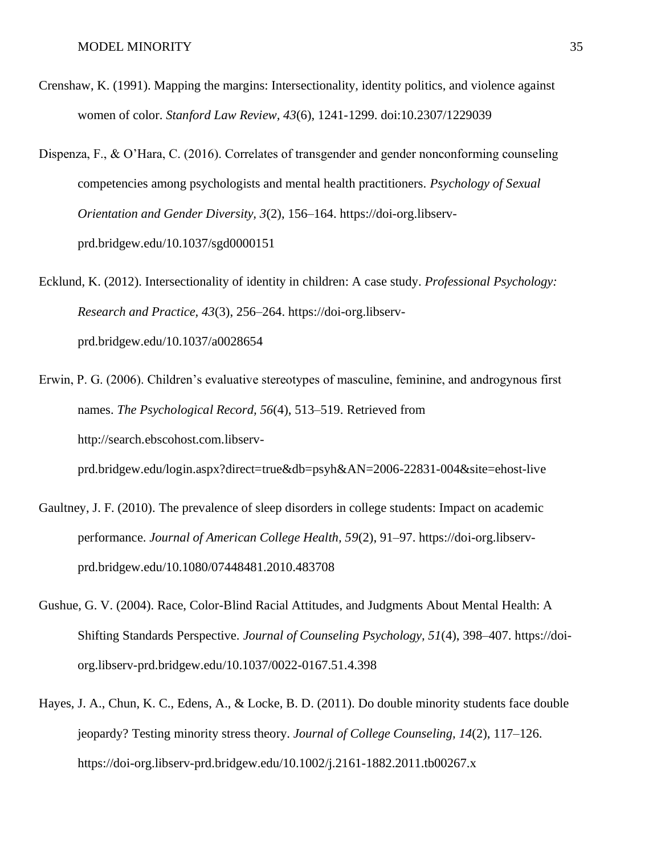- Crenshaw, K. (1991). Mapping the margins: Intersectionality, identity politics, and violence against women of color. *Stanford Law Review, 43*(6), 1241-1299. doi:10.2307/1229039
- Dispenza, F., & O'Hara, C. (2016). Correlates of transgender and gender nonconforming counseling competencies among psychologists and mental health practitioners. *Psychology of Sexual Orientation and Gender Diversity, 3*(2), 156–164. https://doi-org.libservprd.bridgew.edu/10.1037/sgd0000151
- Ecklund, K. (2012). Intersectionality of identity in children: A case study. *Professional Psychology: Research and Practice, 43*(3), 256–264. https://doi-org.libservprd.bridgew.edu/10.1037/a0028654
- Erwin, P. G. (2006). Children's evaluative stereotypes of masculine, feminine, and androgynous first names. *The Psychological Record, 56*(4), 513–519. Retrieved from http://search.ebscohost.com.libserv-

prd.bridgew.edu/login.aspx?direct=true&db=psyh&AN=2006-22831-004&site=ehost-live

- Gaultney, J. F. (2010). The prevalence of sleep disorders in college students: Impact on academic performance. *Journal of American College Health, 59*(2), 91–97. https://doi-org.libservprd.bridgew.edu/10.1080/07448481.2010.483708
- Gushue, G. V. (2004). Race, Color-Blind Racial Attitudes, and Judgments About Mental Health: A Shifting Standards Perspective. *Journal of Counseling Psychology, 51*(4), 398–407. https://doiorg.libserv-prd.bridgew.edu/10.1037/0022-0167.51.4.398
- Hayes, J. A., Chun, K. C., Edens, A., & Locke, B. D. (2011). Do double minority students face double jeopardy? Testing minority stress theory. *Journal of College Counseling, 14*(2), 117–126. https://doi-org.libserv-prd.bridgew.edu/10.1002/j.2161-1882.2011.tb00267.x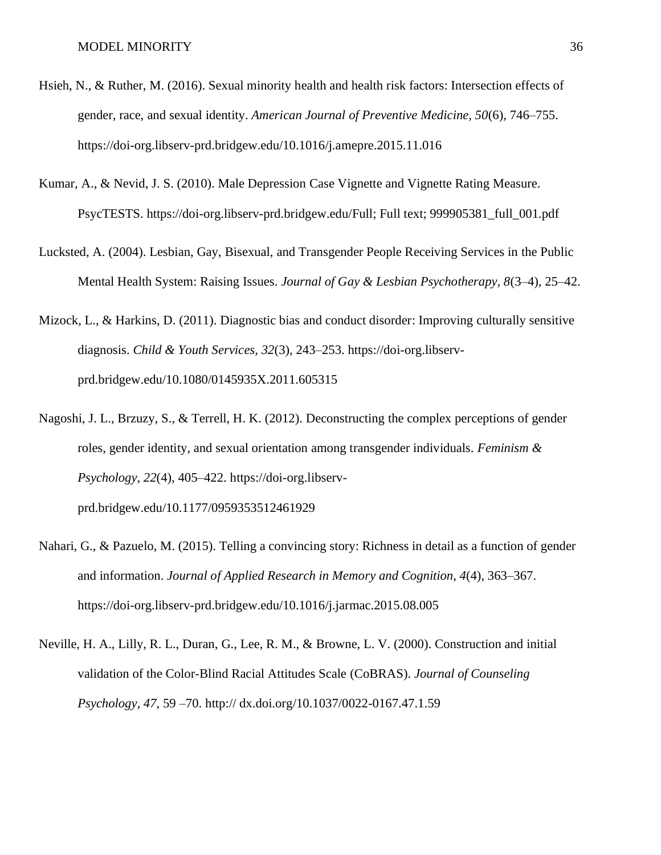- Hsieh, N., & Ruther, M. (2016). Sexual minority health and health risk factors: Intersection effects of gender, race, and sexual identity. *American Journal of Preventive Medicine, 50*(6), 746–755. https://doi-org.libserv-prd.bridgew.edu/10.1016/j.amepre.2015.11.016
- Kumar, A., & Nevid, J. S. (2010). Male Depression Case Vignette and Vignette Rating Measure. PsycTESTS. https://doi-org.libserv-prd.bridgew.edu/Full; Full text; 999905381\_full\_001.pdf
- Lucksted, A. (2004). Lesbian, Gay, Bisexual, and Transgender People Receiving Services in the Public Mental Health System: Raising Issues. *Journal of Gay & Lesbian Psychotherapy, 8*(3–4), 25–42.
- Mizock, L., & Harkins, D. (2011). Diagnostic bias and conduct disorder: Improving culturally sensitive diagnosis. *Child & Youth Services, 32*(3), 243–253. https://doi-org.libservprd.bridgew.edu/10.1080/0145935X.2011.605315
- Nagoshi, J. L., Brzuzy, S., & Terrell, H. K. (2012). Deconstructing the complex perceptions of gender roles, gender identity, and sexual orientation among transgender individuals. *Feminism & Psychology, 22*(4), 405–422. https://doi-org.libservprd.bridgew.edu/10.1177/0959353512461929
- Nahari, G., & Pazuelo, M. (2015). Telling a convincing story: Richness in detail as a function of gender and information. *Journal of Applied Research in Memory and Cognition, 4*(4), 363–367. https://doi-org.libserv-prd.bridgew.edu/10.1016/j.jarmac.2015.08.005
- Neville, H. A., Lilly, R. L., Duran, G., Lee, R. M., & Browne, L. V. (2000). Construction and initial validation of the Color-Blind Racial Attitudes Scale (CoBRAS). *Journal of Counseling Psychology, 47*, 59 –70. http:// dx.doi.org/10.1037/0022-0167.47.1.59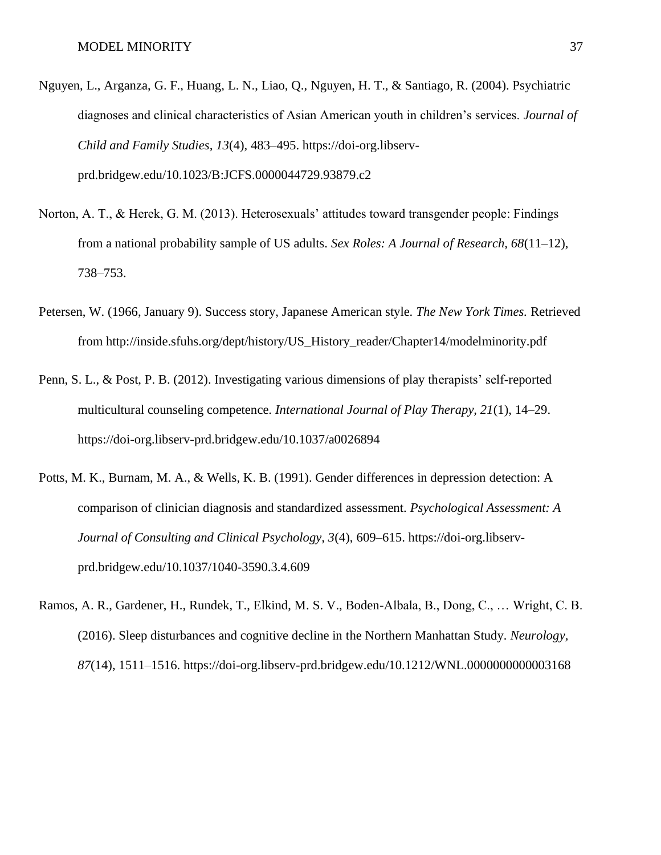- Nguyen, L., Arganza, G. F., Huang, L. N., Liao, Q., Nguyen, H. T., & Santiago, R. (2004). Psychiatric diagnoses and clinical characteristics of Asian American youth in children's services. *Journal of Child and Family Studies, 13*(4), 483–495. https://doi-org.libservprd.bridgew.edu/10.1023/B:JCFS.0000044729.93879.c2
- Norton, A. T., & Herek, G. M. (2013). Heterosexuals' attitudes toward transgender people: Findings from a national probability sample of US adults. *Sex Roles: A Journal of Research, 68*(11–12), 738–753.
- Petersen, W. (1966, January 9). Success story, Japanese American style. *The New York Times.* Retrieved from http://inside.sfuhs.org/dept/history/US\_History\_reader/Chapter14/modelminority.pdf
- Penn, S. L., & Post, P. B. (2012). Investigating various dimensions of play therapists' self-reported multicultural counseling competence. *International Journal of Play Therapy, 21*(1), 14–29. https://doi-org.libserv-prd.bridgew.edu/10.1037/a0026894
- Potts, M. K., Burnam, M. A., & Wells, K. B. (1991). Gender differences in depression detection: A comparison of clinician diagnosis and standardized assessment. *Psychological Assessment: A Journal of Consulting and Clinical Psychology, 3*(4), 609–615. https://doi-org.libservprd.bridgew.edu/10.1037/1040-3590.3.4.609
- Ramos, A. R., Gardener, H., Rundek, T., Elkind, M. S. V., Boden-Albala, B., Dong, C., … Wright, C. B. (2016). Sleep disturbances and cognitive decline in the Northern Manhattan Study*. Neurology, 87*(14), 1511–1516. https://doi-org.libserv-prd.bridgew.edu/10.1212/WNL.0000000000003168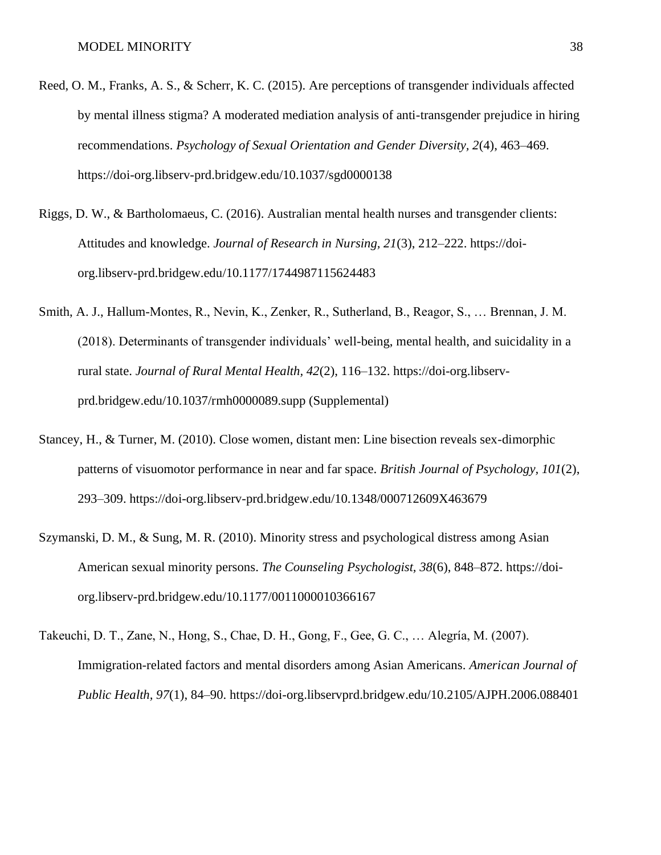- Reed, O. M., Franks, A. S., & Scherr, K. C. (2015). Are perceptions of transgender individuals affected by mental illness stigma? A moderated mediation analysis of anti-transgender prejudice in hiring recommendations. *Psychology of Sexual Orientation and Gender Diversity, 2*(4), 463–469. https://doi-org.libserv-prd.bridgew.edu/10.1037/sgd0000138
- Riggs, D. W., & Bartholomaeus, C. (2016). Australian mental health nurses and transgender clients: Attitudes and knowledge. *Journal of Research in Nursing, 21*(3), 212–222. https://doiorg.libserv-prd.bridgew.edu/10.1177/1744987115624483
- Smith, A. J., Hallum-Montes, R., Nevin, K., Zenker, R., Sutherland, B., Reagor, S., … Brennan, J. M. (2018). Determinants of transgender individuals' well-being, mental health, and suicidality in a rural state. *Journal of Rural Mental Health, 42*(2), 116–132. https://doi-org.libservprd.bridgew.edu/10.1037/rmh0000089.supp (Supplemental)
- Stancey, H., & Turner, M. (2010). Close women, distant men: Line bisection reveals sex-dimorphic patterns of visuomotor performance in near and far space. *British Journal of Psychology, 101*(2), 293–309. https://doi-org.libserv-prd.bridgew.edu/10.1348/000712609X463679
- Szymanski, D. M., & Sung, M. R. (2010). Minority stress and psychological distress among Asian American sexual minority persons. *The Counseling Psychologist, 38*(6), 848–872. https://doiorg.libserv-prd.bridgew.edu/10.1177/0011000010366167
- Takeuchi, D. T., Zane, N., Hong, S., Chae, D. H., Gong, F., Gee, G. C., … Alegría, M. (2007). Immigration-related factors and mental disorders among Asian Americans. *American Journal of Public Health, 97*(1), 84–90. https://doi-org.libservprd.bridgew.edu/10.2105/AJPH.2006.088401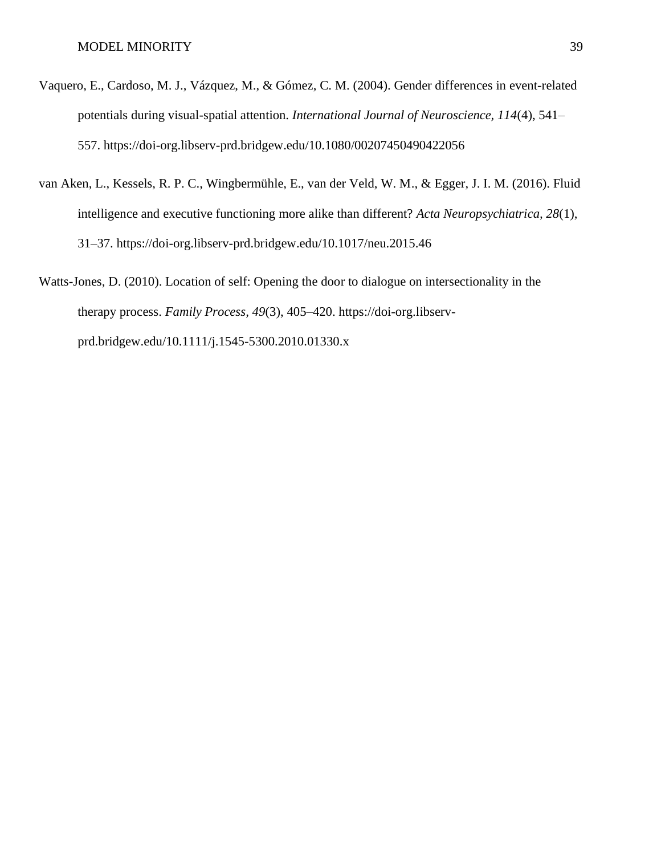- Vaquero, E., Cardoso, M. J., Vázquez, M., & Gómez, C. M. (2004). Gender differences in event-related potentials during visual-spatial attention. *International Journal of Neuroscience, 114*(4), 541– 557. https://doi-org.libserv-prd.bridgew.edu/10.1080/00207450490422056
- van Aken, L., Kessels, R. P. C., Wingbermühle, E., van der Veld, W. M., & Egger, J. I. M. (2016). Fluid intelligence and executive functioning more alike than different? *Acta Neuropsychiatrica, 28*(1), 31–37. https://doi-org.libserv-prd.bridgew.edu/10.1017/neu.2015.46
- Watts-Jones, D. (2010). Location of self: Opening the door to dialogue on intersectionality in the therapy process. *Family Process, 49*(3), 405–420. https://doi-org.libservprd.bridgew.edu/10.1111/j.1545-5300.2010.01330.x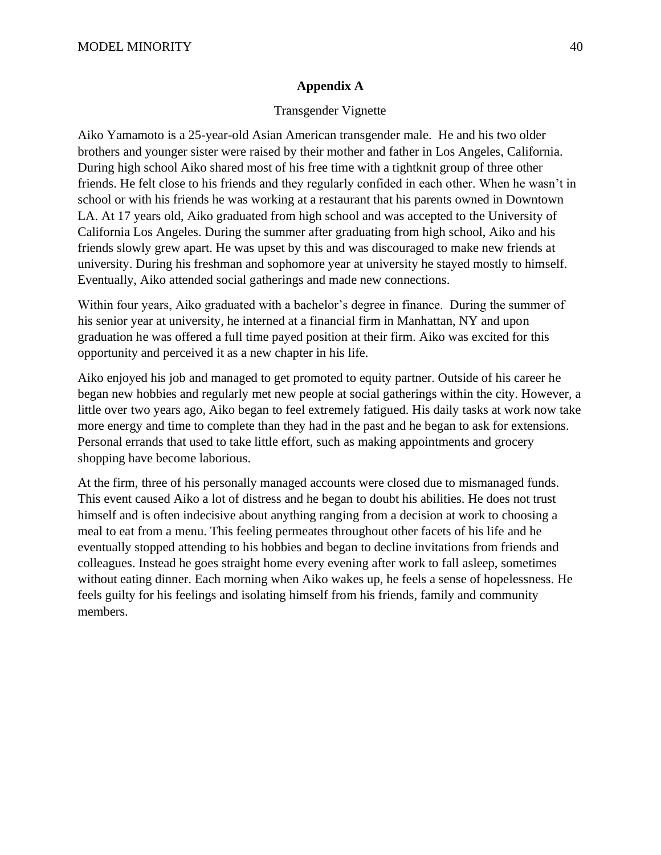## **Appendix A**

## Transgender Vignette

Aiko Yamamoto is a 25-year-old Asian American transgender male. He and his two older brothers and younger sister were raised by their mother and father in Los Angeles, California. During high school Aiko shared most of his free time with a tightknit group of three other friends. He felt close to his friends and they regularly confided in each other. When he wasn't in school or with his friends he was working at a restaurant that his parents owned in Downtown LA. At 17 years old, Aiko graduated from high school and was accepted to the University of California Los Angeles. During the summer after graduating from high school, Aiko and his friends slowly grew apart. He was upset by this and was discouraged to make new friends at university. During his freshman and sophomore year at university he stayed mostly to himself. Eventually, Aiko attended social gatherings and made new connections.

Within four years, Aiko graduated with a bachelor's degree in finance. During the summer of his senior year at university, he interned at a financial firm in Manhattan, NY and upon graduation he was offered a full time payed position at their firm. Aiko was excited for this opportunity and perceived it as a new chapter in his life.

Aiko enjoyed his job and managed to get promoted to equity partner. Outside of his career he began new hobbies and regularly met new people at social gatherings within the city. However, a little over two years ago, Aiko began to feel extremely fatigued. His daily tasks at work now take more energy and time to complete than they had in the past and he began to ask for extensions. Personal errands that used to take little effort, such as making appointments and grocery shopping have become laborious.

At the firm, three of his personally managed accounts were closed due to mismanaged funds. This event caused Aiko a lot of distress and he began to doubt his abilities. He does not trust himself and is often indecisive about anything ranging from a decision at work to choosing a meal to eat from a menu. This feeling permeates throughout other facets of his life and he eventually stopped attending to his hobbies and began to decline invitations from friends and colleagues. Instead he goes straight home every evening after work to fall asleep, sometimes without eating dinner. Each morning when Aiko wakes up, he feels a sense of hopelessness. He feels guilty for his feelings and isolating himself from his friends, family and community members.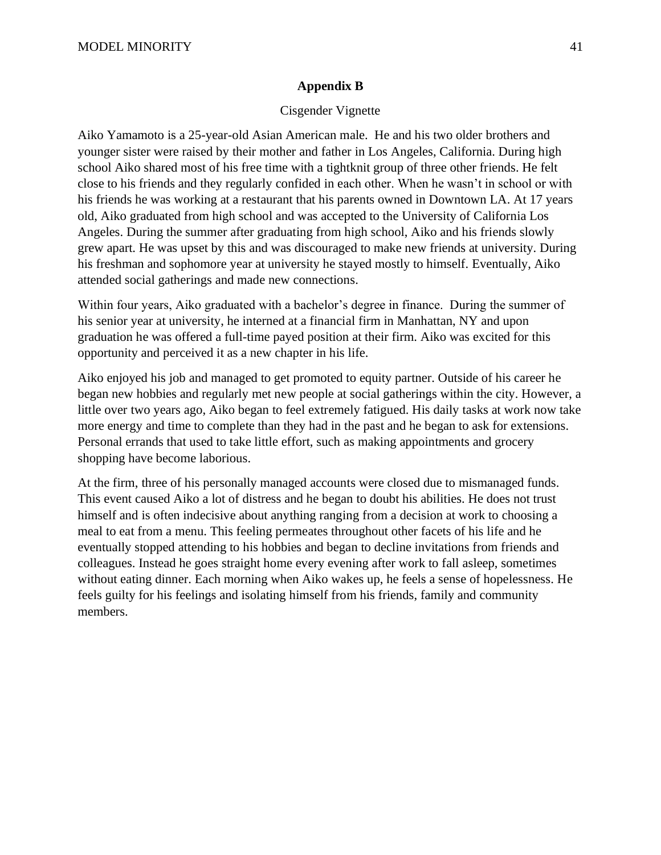## **Appendix B**

### Cisgender Vignette

Aiko Yamamoto is a 25-year-old Asian American male. He and his two older brothers and younger sister were raised by their mother and father in Los Angeles, California. During high school Aiko shared most of his free time with a tightknit group of three other friends. He felt close to his friends and they regularly confided in each other. When he wasn't in school or with his friends he was working at a restaurant that his parents owned in Downtown LA. At 17 years old, Aiko graduated from high school and was accepted to the University of California Los Angeles. During the summer after graduating from high school, Aiko and his friends slowly grew apart. He was upset by this and was discouraged to make new friends at university. During his freshman and sophomore year at university he stayed mostly to himself. Eventually, Aiko attended social gatherings and made new connections.

Within four years, Aiko graduated with a bachelor's degree in finance. During the summer of his senior year at university, he interned at a financial firm in Manhattan, NY and upon graduation he was offered a full-time payed position at their firm. Aiko was excited for this opportunity and perceived it as a new chapter in his life.

Aiko enjoyed his job and managed to get promoted to equity partner. Outside of his career he began new hobbies and regularly met new people at social gatherings within the city. However, a little over two years ago, Aiko began to feel extremely fatigued. His daily tasks at work now take more energy and time to complete than they had in the past and he began to ask for extensions. Personal errands that used to take little effort, such as making appointments and grocery shopping have become laborious.

At the firm, three of his personally managed accounts were closed due to mismanaged funds. This event caused Aiko a lot of distress and he began to doubt his abilities. He does not trust himself and is often indecisive about anything ranging from a decision at work to choosing a meal to eat from a menu. This feeling permeates throughout other facets of his life and he eventually stopped attending to his hobbies and began to decline invitations from friends and colleagues. Instead he goes straight home every evening after work to fall asleep, sometimes without eating dinner. Each morning when Aiko wakes up, he feels a sense of hopelessness. He feels guilty for his feelings and isolating himself from his friends, family and community members.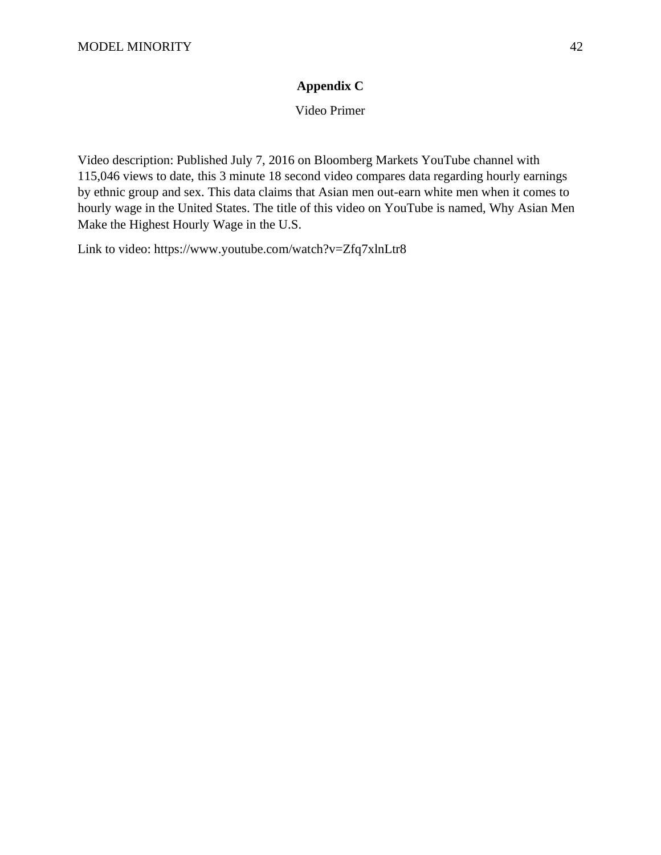# **Appendix C**

Video Primer

Video description: Published July 7, 2016 on Bloomberg Markets YouTube channel with 115,046 views to date, this 3 minute 18 second video compares data regarding hourly earnings by ethnic group and sex. This data claims that Asian men out-earn white men when it comes to hourly wage in the United States. The title of this video on YouTube is named, Why Asian Men Make the Highest Hourly Wage in the U.S.

Link to video: https://www.youtube.com/watch?v=Zfq7xlnLtr8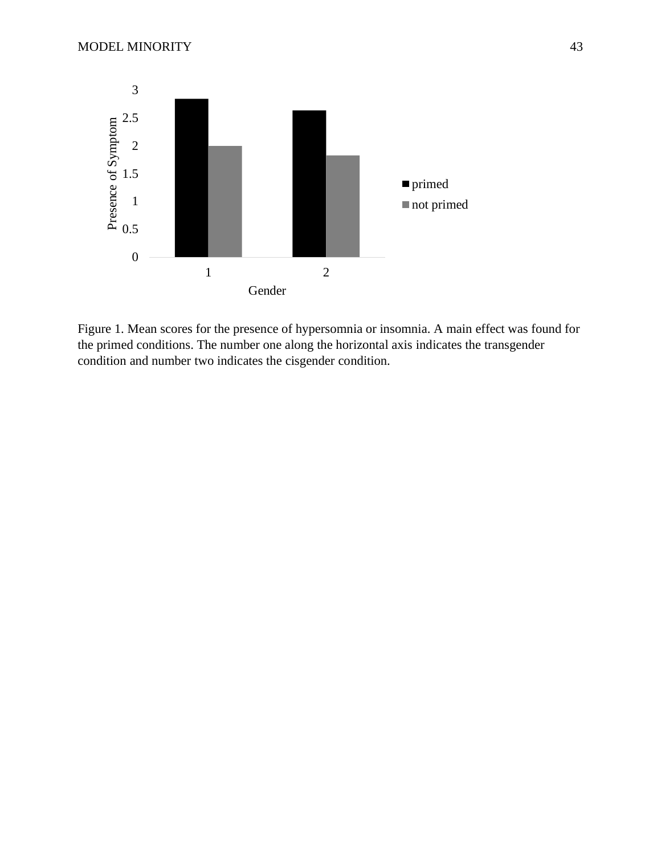

Figure 1. Mean scores for the presence of hypersomnia or insomnia. A main effect was found for the primed conditions. The number one along the horizontal axis indicates the transgender condition and number two indicates the cisgender condition.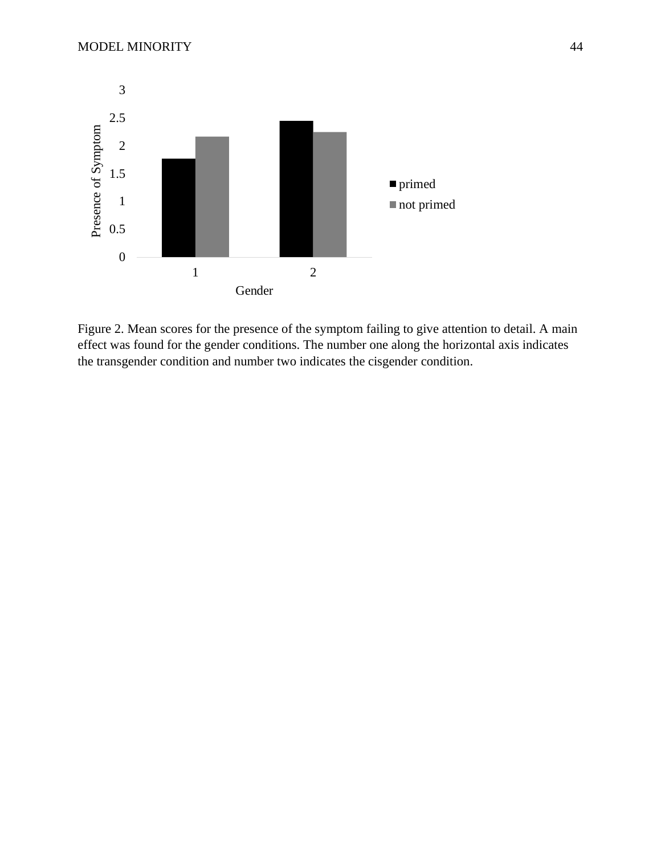

Figure 2. Mean scores for the presence of the symptom failing to give attention to detail. A main effect was found for the gender conditions. The number one along the horizontal axis indicates the transgender condition and number two indicates the cisgender condition.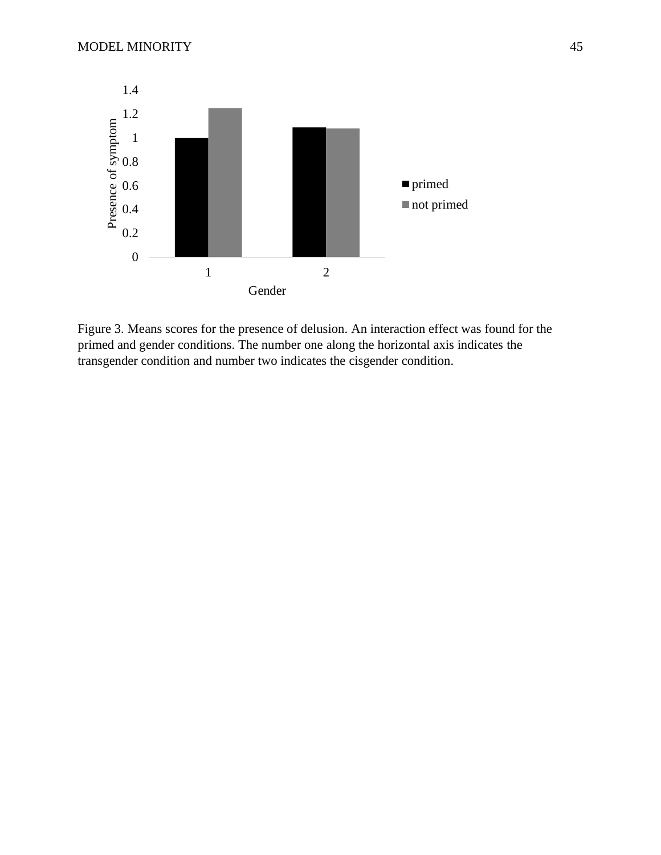

Figure 3. Means scores for the presence of delusion. An interaction effect was found for the primed and gender conditions. The number one along the horizontal axis indicates the transgender condition and number two indicates the cisgender condition.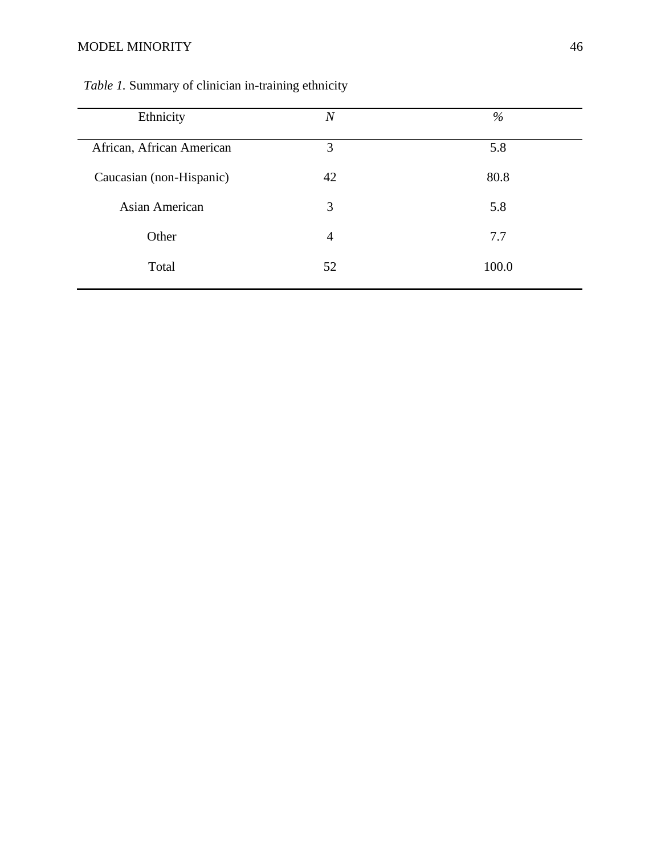# MODEL MINORITY 46

| Ethnicity                 | $\overline{N}$ | $\%$  |
|---------------------------|----------------|-------|
| African, African American | 3              | 5.8   |
| Caucasian (non-Hispanic)  | 42             | 80.8  |
| Asian American            | 3              | 5.8   |
| Other                     | $\overline{4}$ | 7.7   |
| Total                     | 52             | 100.0 |
|                           |                |       |

# *Table 1.* Summary of clinician in-training ethnicity